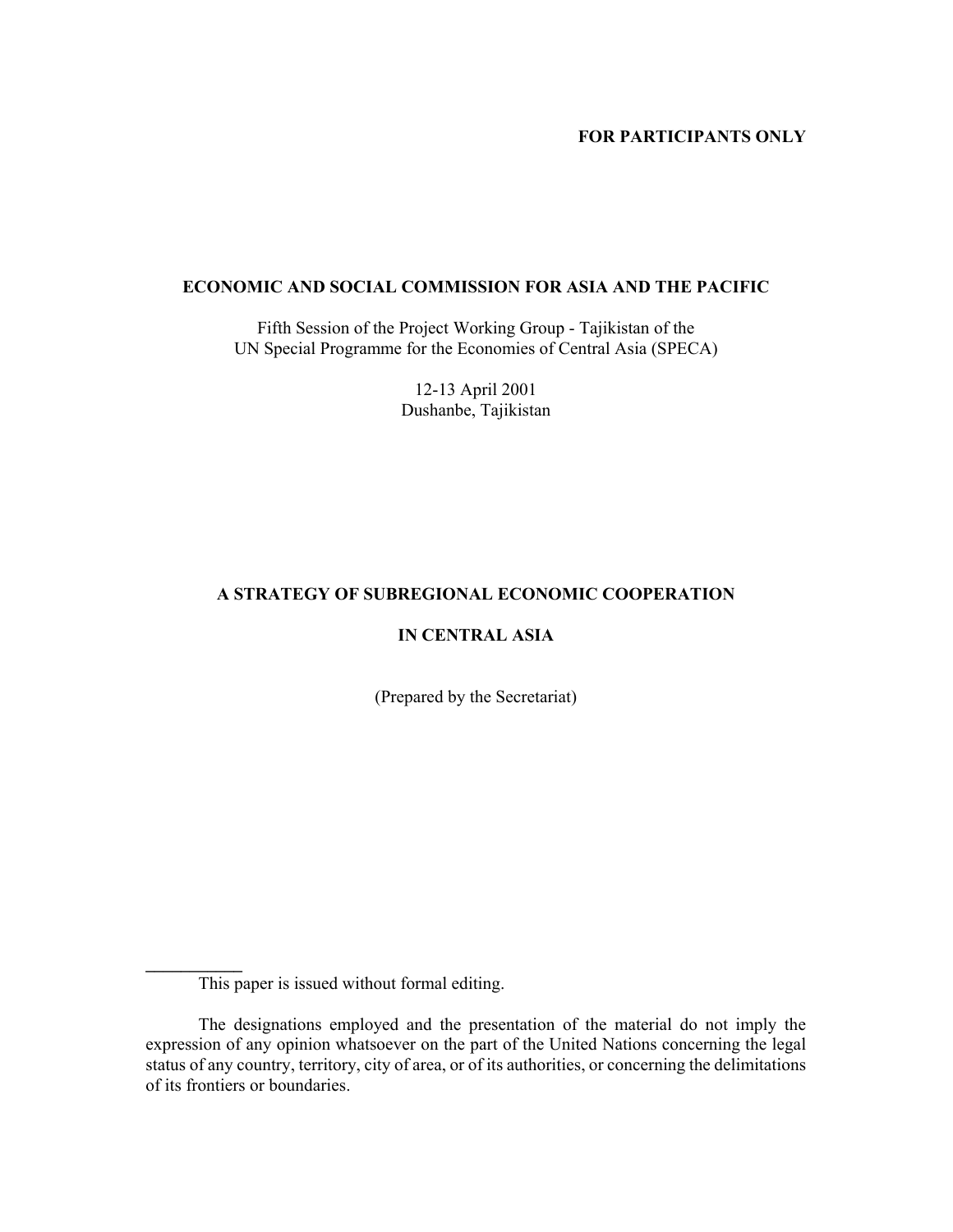# **FOR PARTICIPANTS ONLY**

## **ECONOMIC AND SOCIAL COMMISSION FOR ASIA AND THE PACIFIC**

Fifth Session of the Project Working Group - Tajikistan of the UN Special Programme for the Economies of Central Asia (SPECA)

> 12-13 April 2001 Dushanbe, Tajikistan

# **A STRATEGY OF SUBREGIONAL ECONOMIC COOPERATION**

# **IN CENTRAL ASIA**

(Prepared by the Secretariat)

**\_\_\_\_\_\_\_\_\_\_\_** 

This paper is issued without formal editing.

The designations employed and the presentation of the material do not imply the expression of any opinion whatsoever on the part of the United Nations concerning the legal status of any country, territory, city of area, or of its authorities, or concerning the delimitations of its frontiers or boundaries.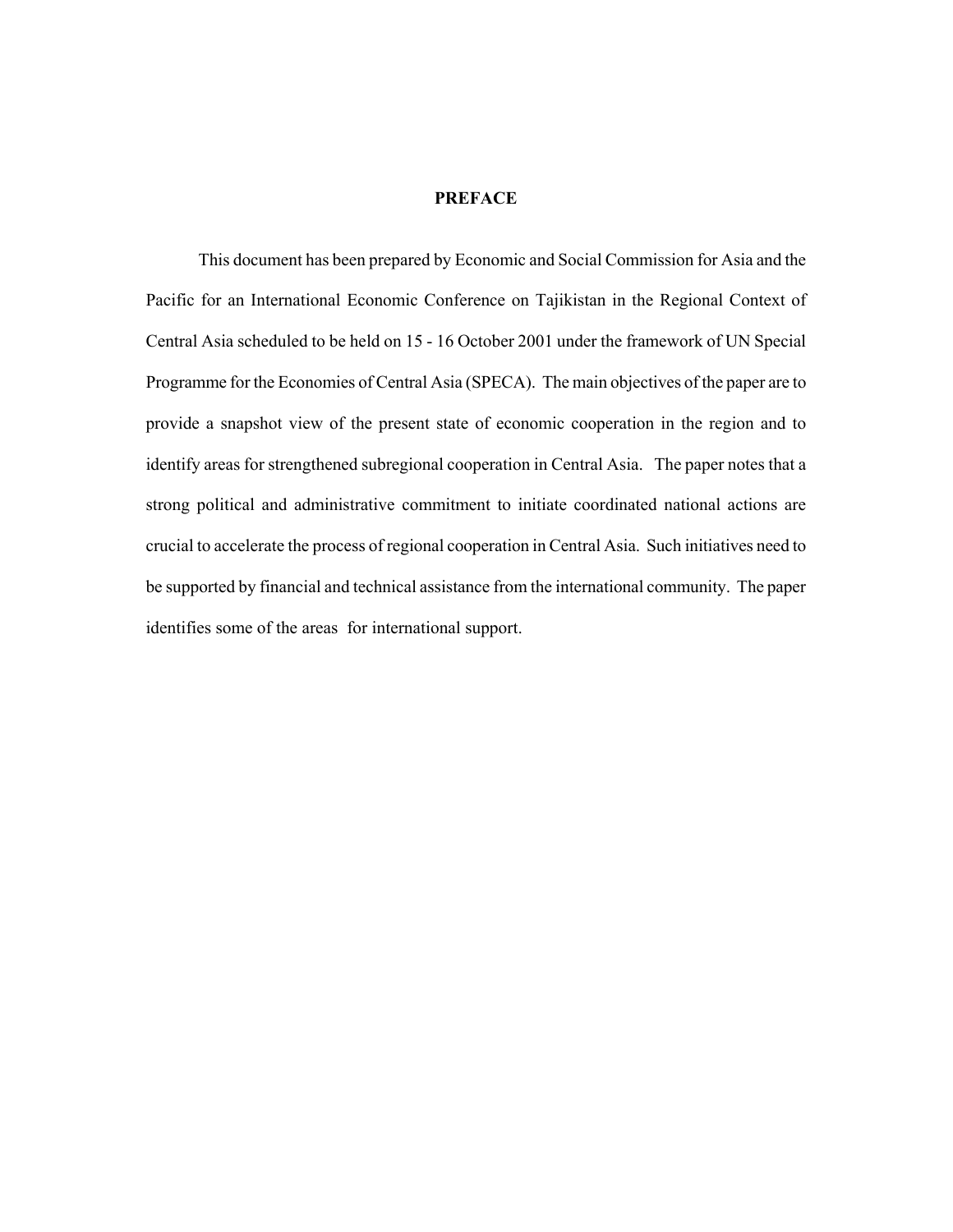### **PREFACE**

This document has been prepared by Economic and Social Commission for Asia and the Pacific for an International Economic Conference on Tajikistan in the Regional Context of Central Asia scheduled to be held on 15 - 16 October 2001 under the framework of UN Special Programme for the Economies of Central Asia (SPECA). The main objectives of the paper are to provide a snapshot view of the present state of economic cooperation in the region and to identify areas for strengthened subregional cooperation in Central Asia. The paper notes that a strong political and administrative commitment to initiate coordinated national actions are crucial to accelerate the process of regional cooperation in Central Asia. Such initiatives need to be supported by financial and technical assistance from the international community. The paper identifies some of the areas for international support.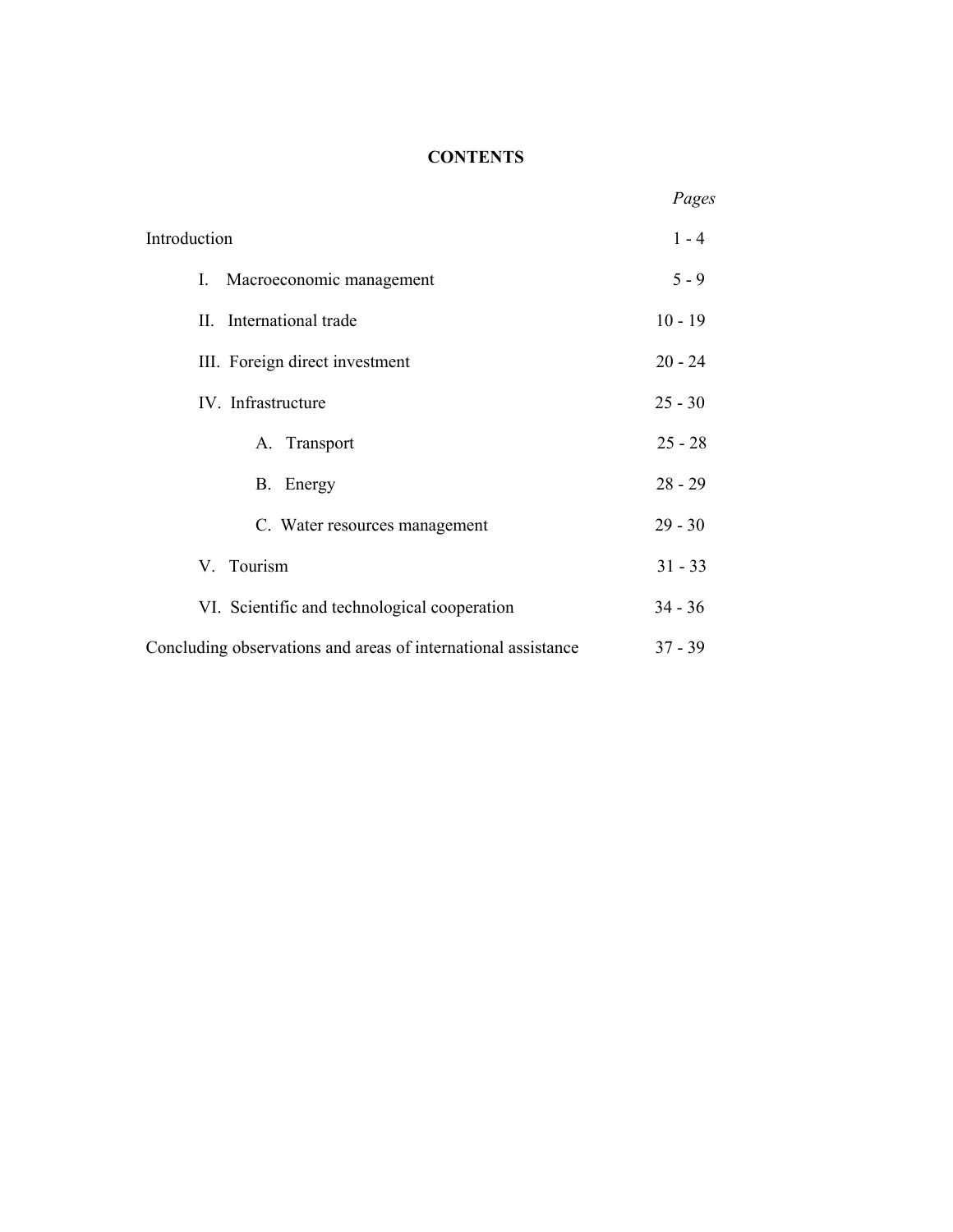# **CONTENTS**

|                                                               | Pages     |
|---------------------------------------------------------------|-----------|
| Introduction                                                  | $1 - 4$   |
| I.<br>Macroeconomic management                                | $5 - 9$   |
| II. International trade                                       | $10 - 19$ |
| III. Foreign direct investment                                | $20 - 24$ |
| IV. Infrastructure                                            | $25 - 30$ |
| A. Transport                                                  | $25 - 28$ |
| B. Energy                                                     | $28 - 29$ |
| C. Water resources management                                 | $29 - 30$ |
| V. Tourism                                                    | $31 - 33$ |
| VI. Scientific and technological cooperation                  | $34 - 36$ |
| Concluding observations and areas of international assistance | $37 - 39$ |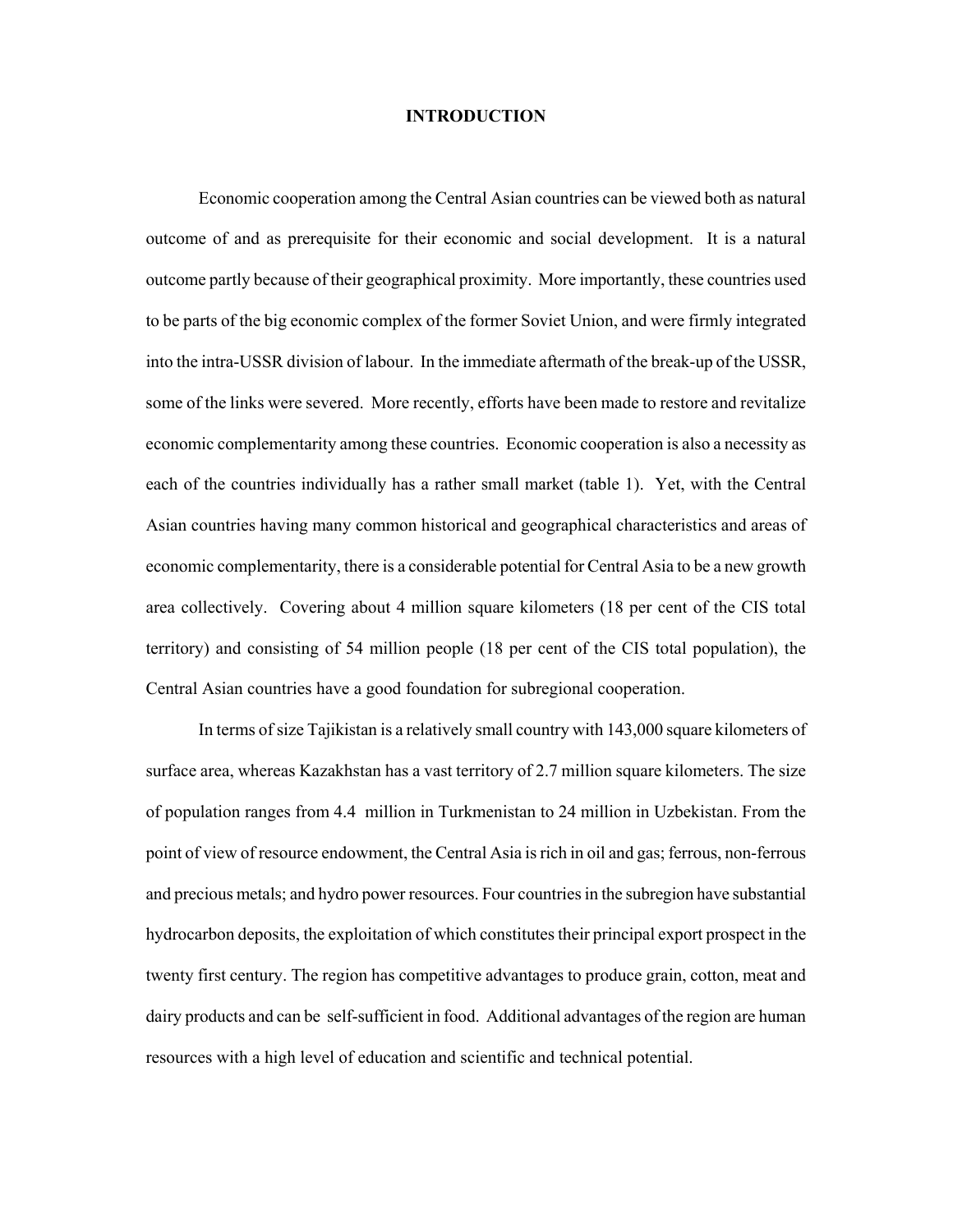### **INTRODUCTION**

Economic cooperation among the Central Asian countries can be viewed both as natural outcome of and as prerequisite for their economic and social development. It is a natural outcome partly because of their geographical proximity. More importantly, these countries used to be parts of the big economic complex of the former Soviet Union, and were firmly integrated into the intra-USSR division of labour. In the immediate aftermath of the break-up of the USSR, some of the links were severed. More recently, efforts have been made to restore and revitalize economic complementarity among these countries. Economic cooperation is also a necessity as each of the countries individually has a rather small market (table 1). Yet, with the Central Asian countries having many common historical and geographical characteristics and areas of economic complementarity, there is a considerable potential for Central Asia to be a new growth area collectively. Covering about 4 million square kilometers (18 per cent of the CIS total territory) and consisting of 54 million people (18 per cent of the CIS total population), the Central Asian countries have a good foundation for subregional cooperation.

In terms of size Tajikistan is a relatively small country with 143,000 square kilometers of surface area, whereas Kazakhstan has a vast territory of 2.7 million square kilometers. The size of population ranges from 4.4 million in Turkmenistan to 24 million in Uzbekistan. From the point of view of resource endowment, the Central Asia is rich in oil and gas; ferrous, non-ferrous and precious metals; and hydro power resources. Four countries in the subregion have substantial hydrocarbon deposits, the exploitation of which constitutes their principal export prospect in the twenty first century. The region has competitive advantages to produce grain, cotton, meat and dairy products and can be self-sufficient in food. Additional advantages of the region are human resources with a high level of education and scientific and technical potential.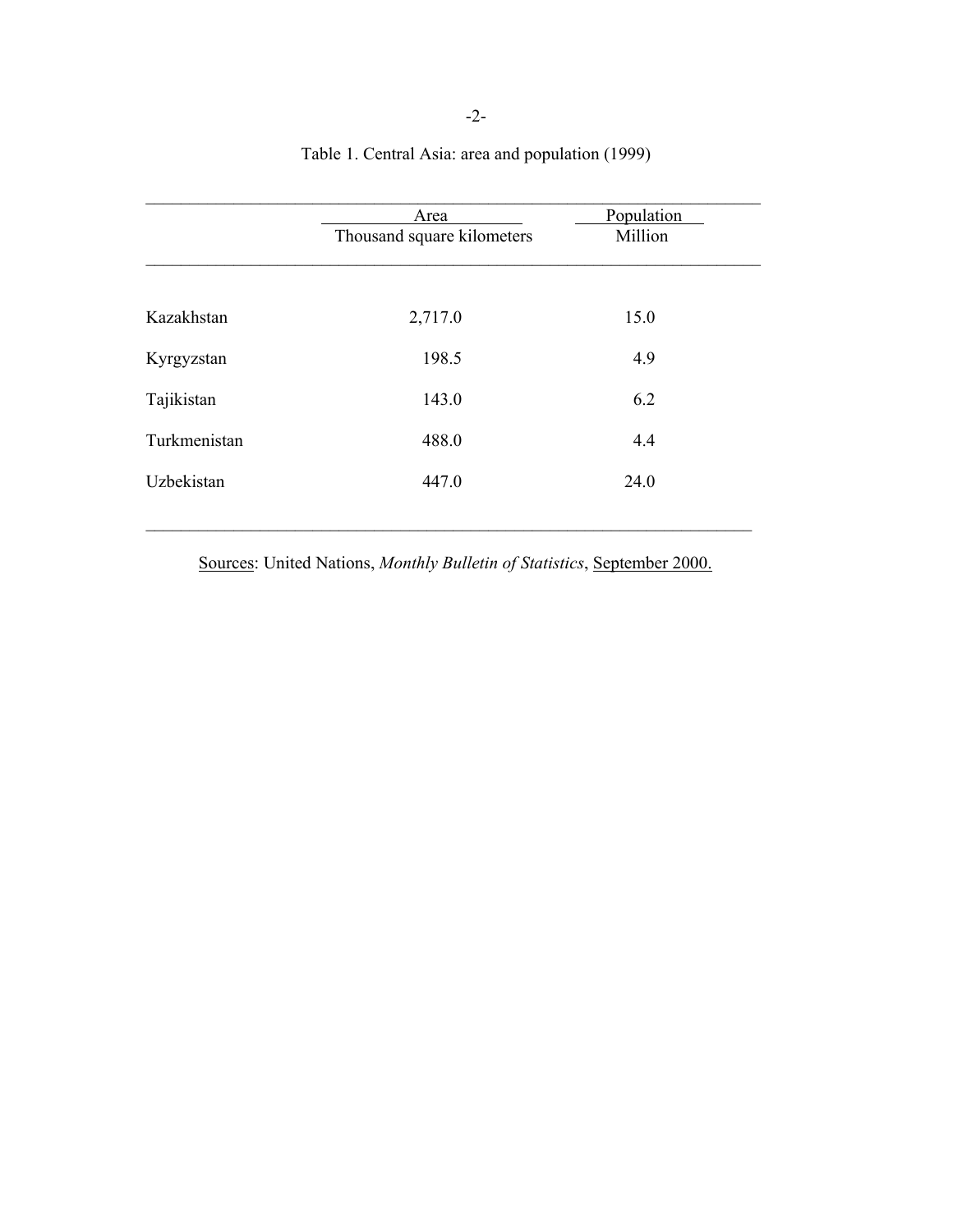|              | Area                       | Population |  |
|--------------|----------------------------|------------|--|
|              | Thousand square kilometers | Million    |  |
|              |                            |            |  |
| Kazakhstan   | 2,717.0                    | 15.0       |  |
| Kyrgyzstan   | 198.5                      | 4.9        |  |
| Tajikistan   | 143.0                      | 6.2        |  |
| Turkmenistan | 488.0                      | 4.4        |  |
| Uzbekistan   | 447.0                      | 24.0       |  |
|              |                            |            |  |

Table 1. Central Asia: area and population (1999)

Sources: United Nations, *Monthly Bulletin of Statistics*, September 2000.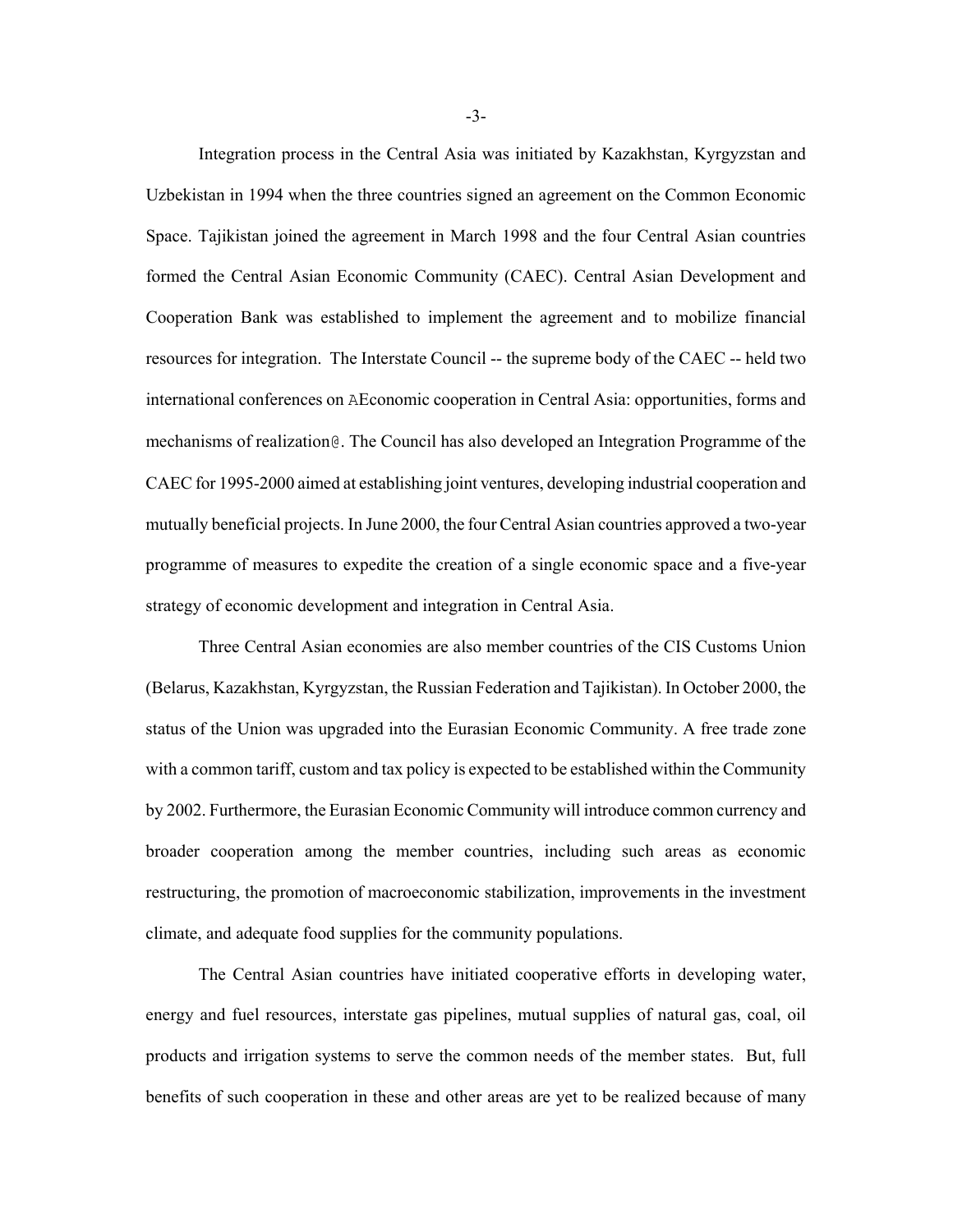Integration process in the Central Asia was initiated by Kazakhstan, Kyrgyzstan and Uzbekistan in 1994 when the three countries signed an agreement on the Common Economic Space. Tajikistan joined the agreement in March 1998 and the four Central Asian countries formed the Central Asian Economic Community (CAEC). Central Asian Development and Cooperation Bank was established to implement the agreement and to mobilize financial resources for integration. The Interstate Council -- the supreme body of the CAEC -- held two international conferences on AEconomic cooperation in Central Asia: opportunities, forms and mechanisms of realization@. The Council has also developed an Integration Programme of the CAEC for 1995-2000 aimed at establishing joint ventures, developing industrial cooperation and mutually beneficial projects. In June 2000, the four Central Asian countries approved a two-year programme of measures to expedite the creation of a single economic space and a five-year strategy of economic development and integration in Central Asia.

Three Central Asian economies are also member countries of the CIS Customs Union (Belarus, Kazakhstan, Kyrgyzstan, the Russian Federation and Tajikistan). In October 2000, the status of the Union was upgraded into the Eurasian Economic Community. A free trade zone with a common tariff, custom and tax policy is expected to be established within the Community by 2002. Furthermore, the Eurasian Economic Community will introduce common currency and broader cooperation among the member countries, including such areas as economic restructuring, the promotion of macroeconomic stabilization, improvements in the investment climate, and adequate food supplies for the community populations.

 The Central Asian countries have initiated cooperative efforts in developing water, energy and fuel resources, interstate gas pipelines, mutual supplies of natural gas, coal, oil products and irrigation systems to serve the common needs of the member states. But, full benefits of such cooperation in these and other areas are yet to be realized because of many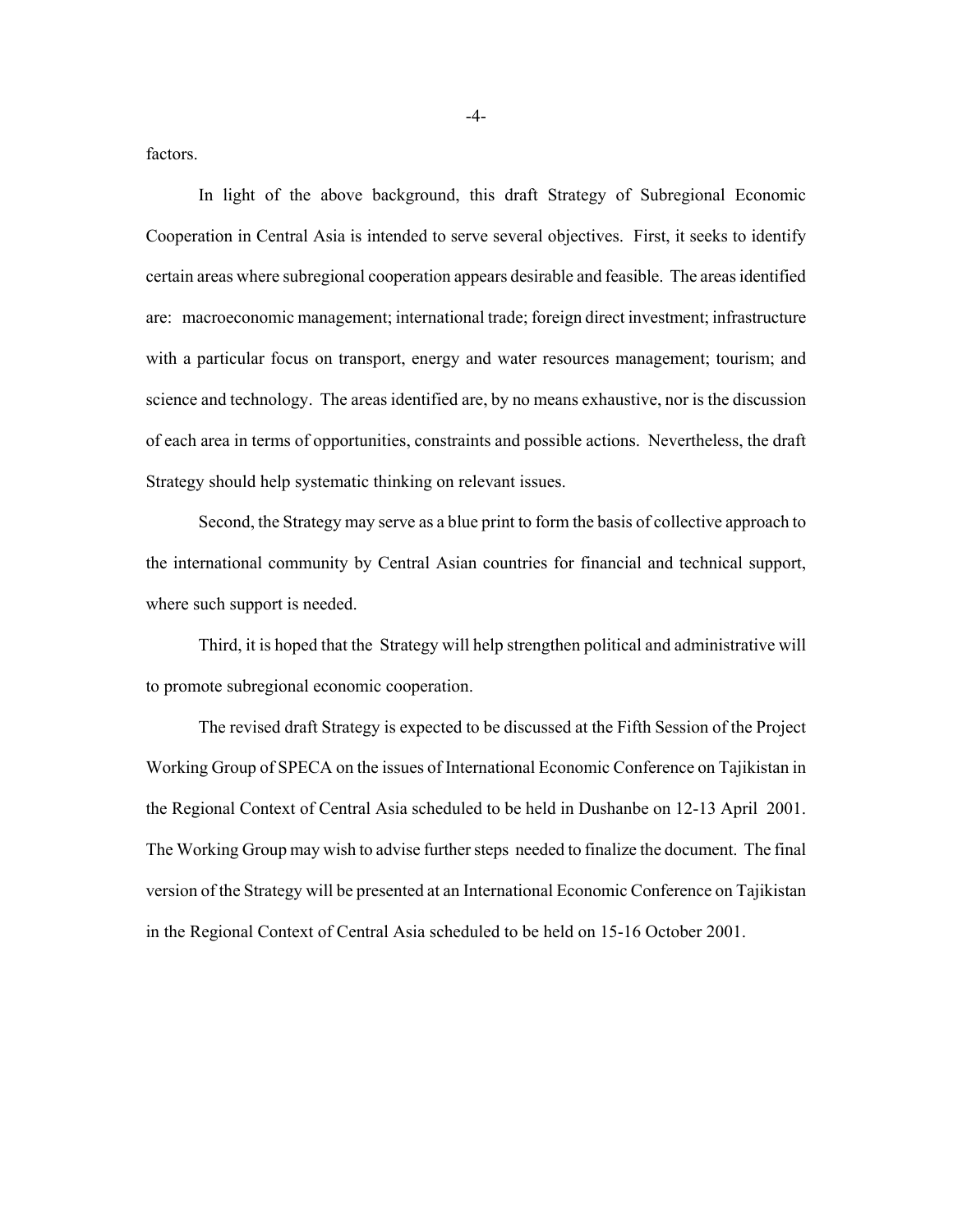factors.

In light of the above background, this draft Strategy of Subregional Economic Cooperation in Central Asia is intended to serve several objectives. First, it seeks to identify certain areas where subregional cooperation appears desirable and feasible. The areas identified are: macroeconomic management; international trade; foreign direct investment; infrastructure with a particular focus on transport, energy and water resources management; tourism; and science and technology. The areas identified are, by no means exhaustive, nor is the discussion of each area in terms of opportunities, constraints and possible actions. Nevertheless, the draft Strategy should help systematic thinking on relevant issues.

Second, the Strategy may serve as a blue print to form the basis of collective approach to the international community by Central Asian countries for financial and technical support, where such support is needed.

Third, it is hoped that the Strategy will help strengthen political and administrative will to promote subregional economic cooperation.

The revised draft Strategy is expected to be discussed at the Fifth Session of the Project Working Group of SPECA on the issues of International Economic Conference on Tajikistan in the Regional Context of Central Asia scheduled to be held in Dushanbe on 12-13 April 2001. The Working Group may wish to advise further steps needed to finalize the document. The final version of the Strategy will be presented at an International Economic Conference on Tajikistan in the Regional Context of Central Asia scheduled to be held on 15-16 October 2001.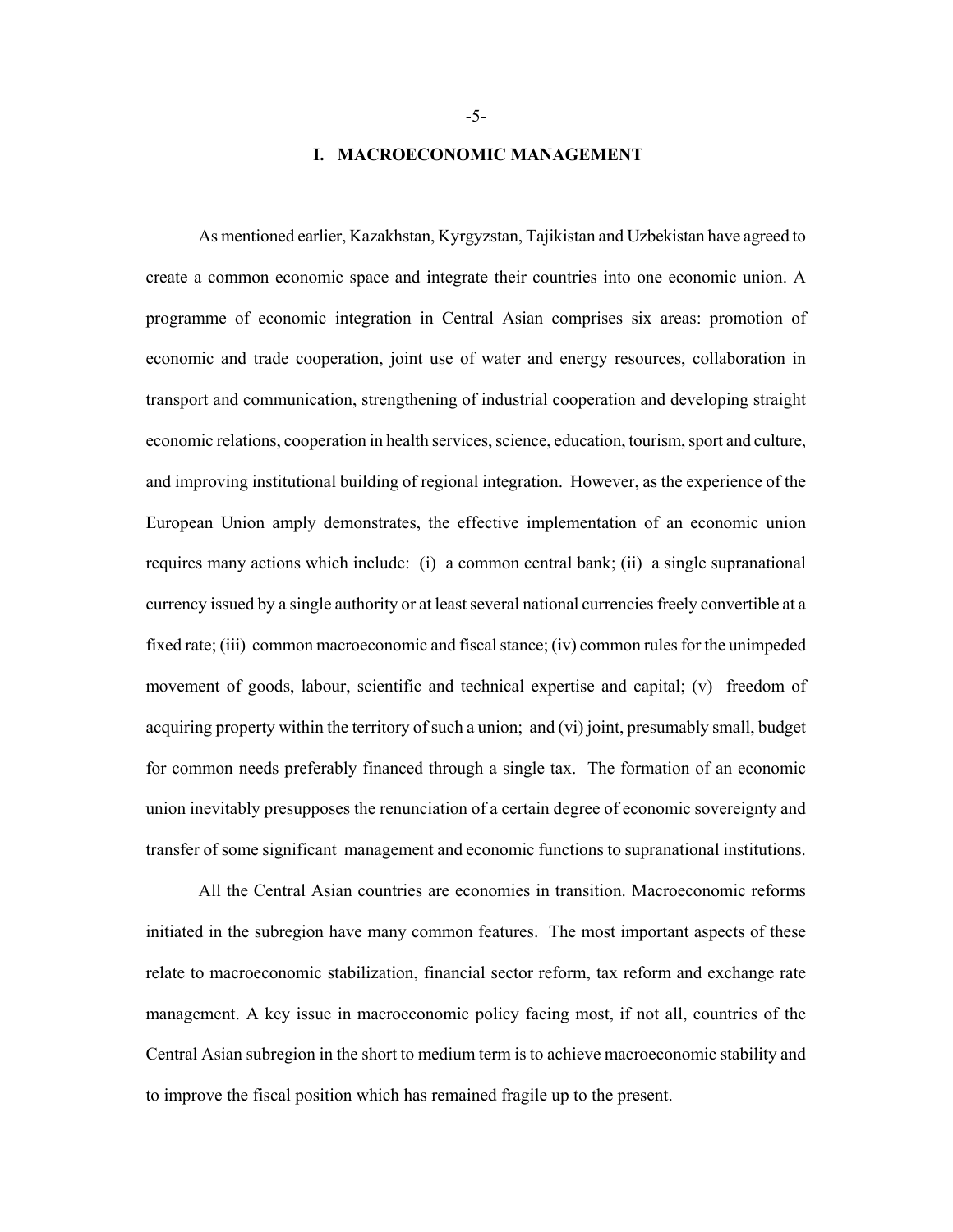### **I. MACROECONOMIC MANAGEMENT**

As mentioned earlier, Kazakhstan, Kyrgyzstan, Tajikistan and Uzbekistan have agreed to create a common economic space and integrate their countries into one economic union. A programme of economic integration in Central Asian comprises six areas: promotion of economic and trade cooperation, joint use of water and energy resources, collaboration in transport and communication, strengthening of industrial cooperation and developing straight economic relations, cooperation in health services, science, education, tourism, sport and culture, and improving institutional building of regional integration. However, as the experience of the European Union amply demonstrates, the effective implementation of an economic union requires many actions which include: (i) a common central bank; (ii) a single supranational currency issued by a single authority or at least several national currencies freely convertible at a fixed rate; (iii) common macroeconomic and fiscal stance; (iv) common rules for the unimpeded movement of goods, labour, scientific and technical expertise and capital; (v) freedom of acquiring property within the territory of such a union; and (vi) joint, presumably small, budget for common needs preferably financed through a single tax. The formation of an economic union inevitably presupposes the renunciation of a certain degree of economic sovereignty and transfer of some significant management and economic functions to supranational institutions.

All the Central Asian countries are economies in transition. Macroeconomic reforms initiated in the subregion have many common features. The most important aspects of these relate to macroeconomic stabilization, financial sector reform, tax reform and exchange rate management. A key issue in macroeconomic policy facing most, if not all, countries of the Central Asian subregion in the short to medium term is to achieve macroeconomic stability and to improve the fiscal position which has remained fragile up to the present.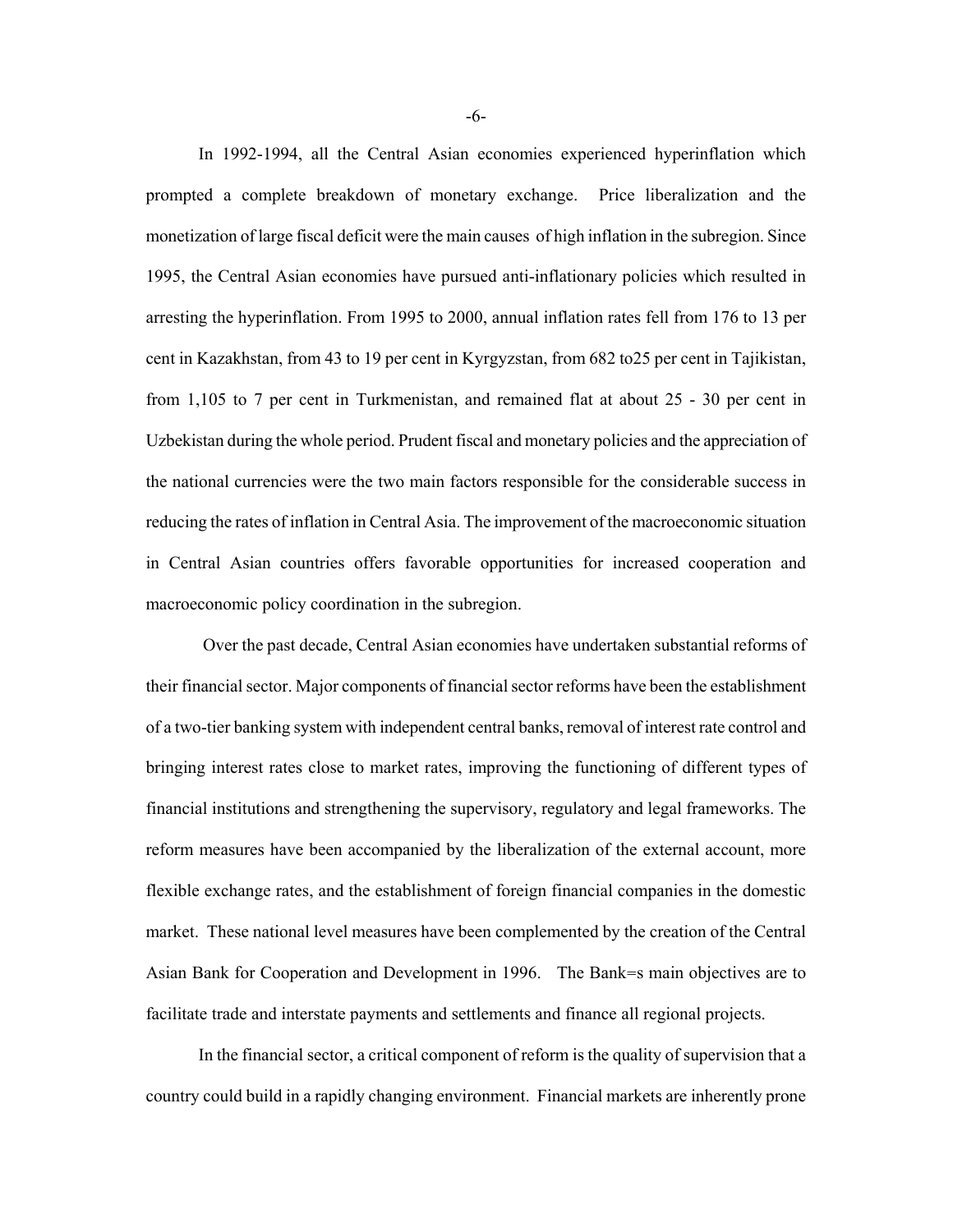In 1992-1994, all the Central Asian economies experienced hyperinflation which prompted a complete breakdown of monetary exchange. Price liberalization and the monetization of large fiscal deficit were the main causes of high inflation in the subregion. Since 1995, the Central Asian economies have pursued anti-inflationary policies which resulted in arresting the hyperinflation. From 1995 to 2000, annual inflation rates fell from 176 to 13 per cent in Kazakhstan, from 43 to 19 per cent in Kyrgyzstan, from 682 to25 per cent in Tajikistan, from 1,105 to 7 per cent in Turkmenistan, and remained flat at about 25 - 30 per cent in Uzbekistan during the whole period. Prudent fiscal and monetary policies and the appreciation of the national currencies were the two main factors responsible for the considerable success in reducing the rates of inflation in Central Asia. The improvement of the macroeconomic situation in Central Asian countries offers favorable opportunities for increased cooperation and macroeconomic policy coordination in the subregion.

 Over the past decade, Central Asian economies have undertaken substantial reforms of their financial sector. Major components of financial sector reforms have been the establishment of a two-tier banking system with independent central banks, removal of interest rate control and bringing interest rates close to market rates, improving the functioning of different types of financial institutions and strengthening the supervisory, regulatory and legal frameworks. The reform measures have been accompanied by the liberalization of the external account, more flexible exchange rates, and the establishment of foreign financial companies in the domestic market. These national level measures have been complemented by the creation of the Central Asian Bank for Cooperation and Development in 1996. The Bank=s main objectives are to facilitate trade and interstate payments and settlements and finance all regional projects.

In the financial sector, a critical component of reform is the quality of supervision that a country could build in a rapidly changing environment. Financial markets are inherently prone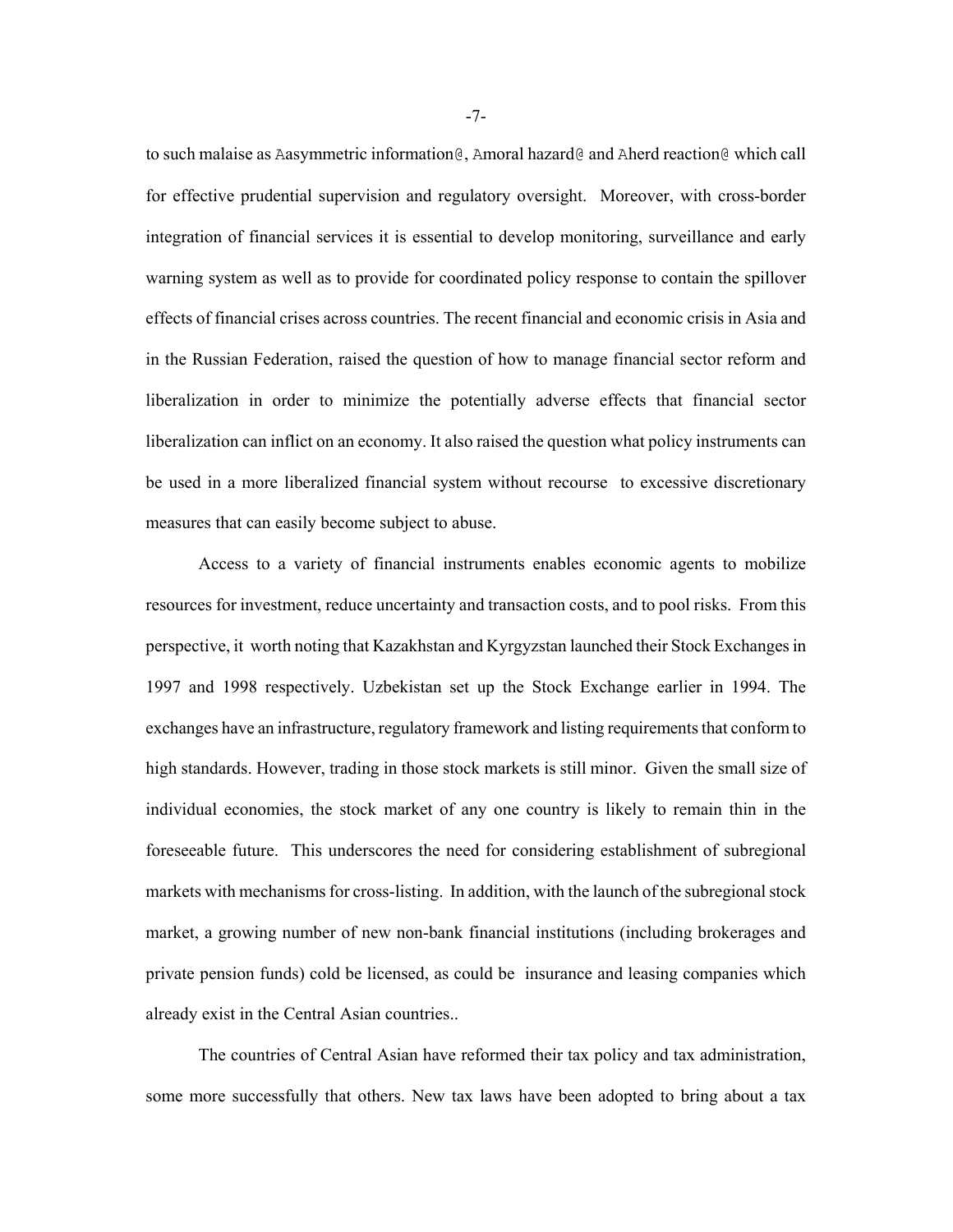to such malaise as Aasymmetric information@, Amoral hazard@ and Aherd reaction@ which call for effective prudential supervision and regulatory oversight. Moreover, with cross-border integration of financial services it is essential to develop monitoring, surveillance and early warning system as well as to provide for coordinated policy response to contain the spillover effects of financial crises across countries. The recent financial and economic crisis in Asia and in the Russian Federation, raised the question of how to manage financial sector reform and liberalization in order to minimize the potentially adverse effects that financial sector liberalization can inflict on an economy. It also raised the question what policy instruments can be used in a more liberalized financial system without recourse to excessive discretionary measures that can easily become subject to abuse.

Access to a variety of financial instruments enables economic agents to mobilize resources for investment, reduce uncertainty and transaction costs, and to pool risks. From this perspective, it worth noting that Kazakhstan and Kyrgyzstan launched their Stock Exchanges in 1997 and 1998 respectively. Uzbekistan set up the Stock Exchange earlier in 1994. The exchanges have an infrastructure, regulatory framework and listing requirements that conform to high standards. However, trading in those stock markets is still minor. Given the small size of individual economies, the stock market of any one country is likely to remain thin in the foreseeable future. This underscores the need for considering establishment of subregional markets with mechanisms for cross-listing. In addition, with the launch of the subregional stock market, a growing number of new non-bank financial institutions (including brokerages and private pension funds) cold be licensed, as could be insurance and leasing companies which already exist in the Central Asian countries..

The countries of Central Asian have reformed their tax policy and tax administration, some more successfully that others. New tax laws have been adopted to bring about a tax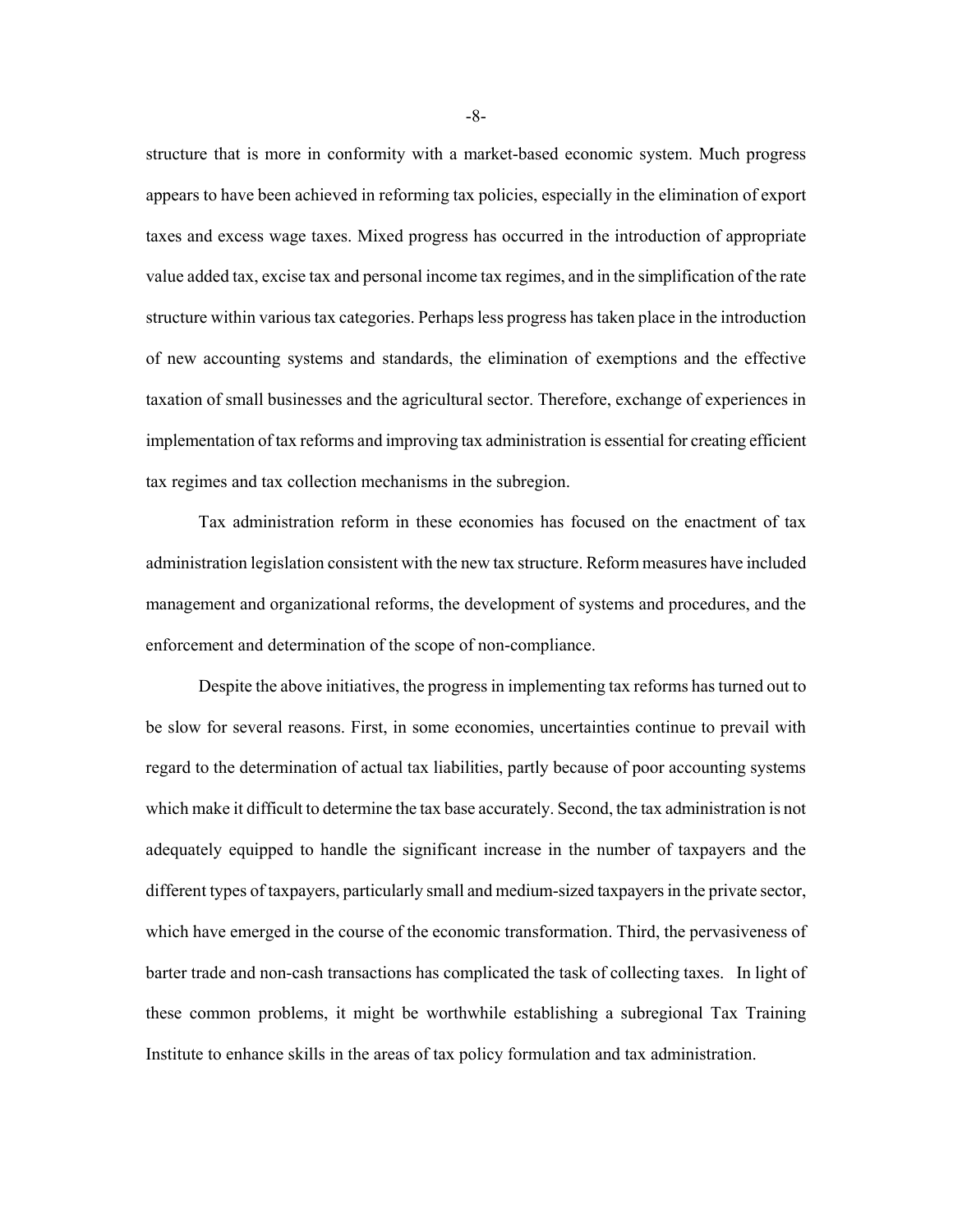structure that is more in conformity with a market-based economic system. Much progress appears to have been achieved in reforming tax policies, especially in the elimination of export taxes and excess wage taxes. Mixed progress has occurred in the introduction of appropriate value added tax, excise tax and personal income tax regimes, and in the simplification of the rate structure within various tax categories. Perhaps less progress has taken place in the introduction of new accounting systems and standards, the elimination of exemptions and the effective taxation of small businesses and the agricultural sector. Therefore, exchange of experiences in implementation of tax reforms and improving tax administration is essential for creating efficient tax regimes and tax collection mechanisms in the subregion.

Tax administration reform in these economies has focused on the enactment of tax administration legislation consistent with the new tax structure. Reform measures have included management and organizational reforms, the development of systems and procedures, and the enforcement and determination of the scope of non-compliance.

Despite the above initiatives, the progress in implementing tax reforms has turned out to be slow for several reasons. First, in some economies, uncertainties continue to prevail with regard to the determination of actual tax liabilities, partly because of poor accounting systems which make it difficult to determine the tax base accurately. Second, the tax administration is not adequately equipped to handle the significant increase in the number of taxpayers and the different types of taxpayers, particularly small and medium-sized taxpayers in the private sector, which have emerged in the course of the economic transformation. Third, the pervasiveness of barter trade and non-cash transactions has complicated the task of collecting taxes. In light of these common problems, it might be worthwhile establishing a subregional Tax Training Institute to enhance skills in the areas of tax policy formulation and tax administration.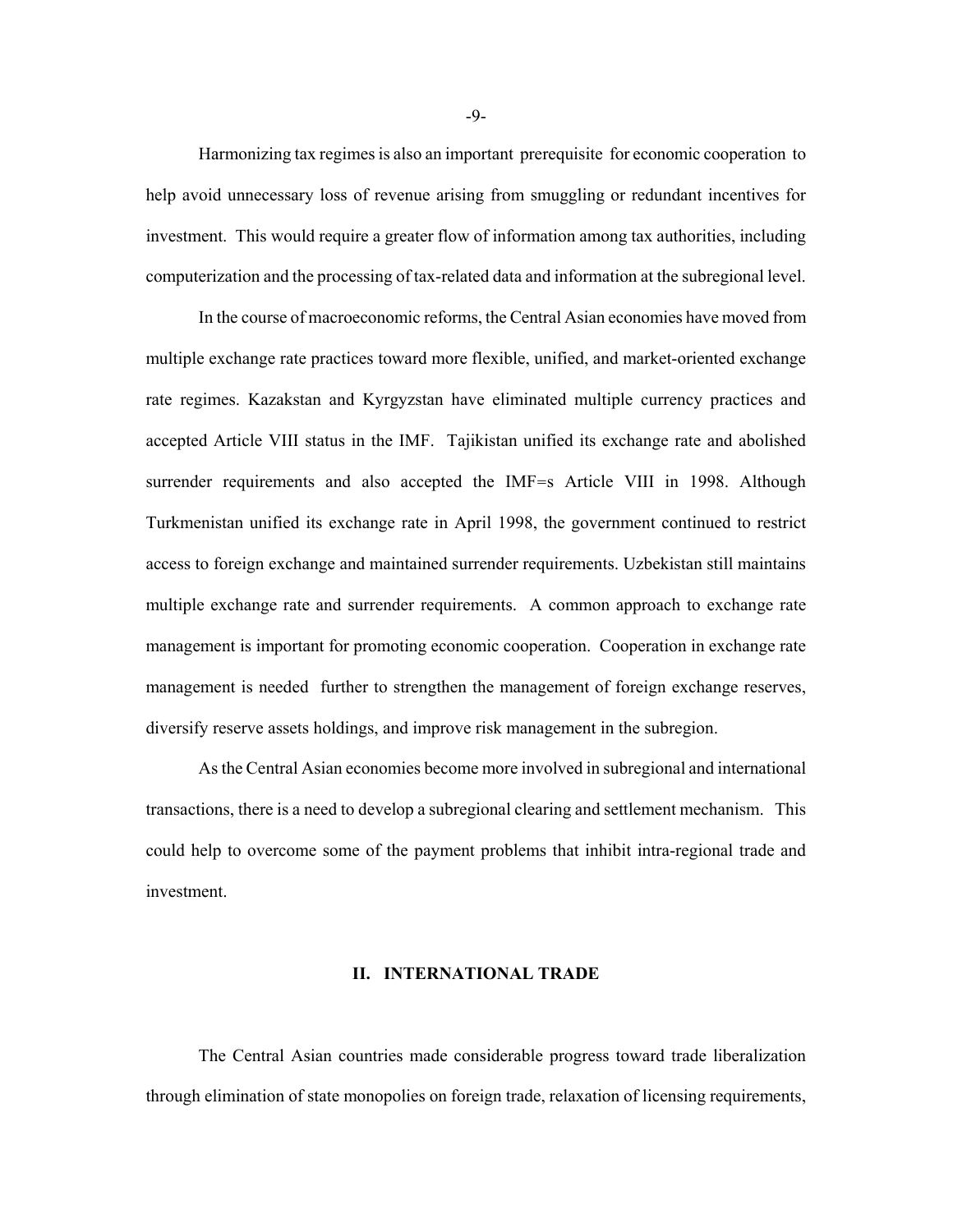Harmonizing tax regimes is also an important prerequisite for economic cooperation to help avoid unnecessary loss of revenue arising from smuggling or redundant incentives for investment. This would require a greater flow of information among tax authorities, including computerization and the processing of tax-related data and information at the subregional level.

 In the course of macroeconomic reforms, the Central Asian economies have moved from multiple exchange rate practices toward more flexible, unified, and market-oriented exchange rate regimes. Kazakstan and Kyrgyzstan have eliminated multiple currency practices and accepted Article VIII status in the IMF. Tajikistan unified its exchange rate and abolished surrender requirements and also accepted the IMF=s Article VIII in 1998. Although Turkmenistan unified its exchange rate in April 1998, the government continued to restrict access to foreign exchange and maintained surrender requirements. Uzbekistan still maintains multiple exchange rate and surrender requirements. A common approach to exchange rate management is important for promoting economic cooperation. Cooperation in exchange rate management is needed further to strengthen the management of foreign exchange reserves, diversify reserve assets holdings, and improve risk management in the subregion.

As the Central Asian economies become more involved in subregional and international transactions, there is a need to develop a subregional clearing and settlement mechanism. This could help to overcome some of the payment problems that inhibit intra-regional trade and investment.

### **II. INTERNATIONAL TRADE**

The Central Asian countries made considerable progress toward trade liberalization through elimination of state monopolies on foreign trade, relaxation of licensing requirements,

-9-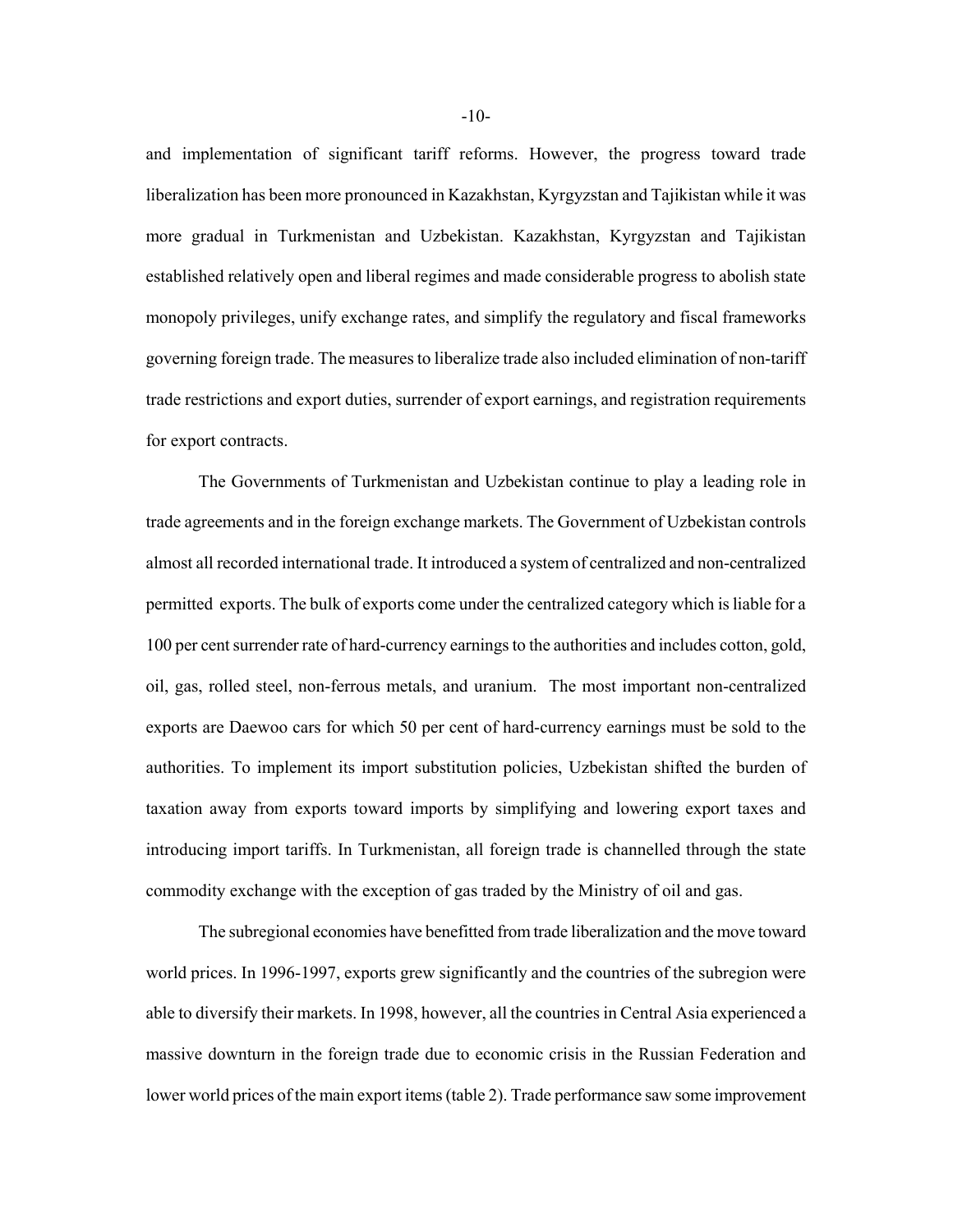and implementation of significant tariff reforms. However, the progress toward trade liberalization has been more pronounced in Kazakhstan, Kyrgyzstan and Tajikistan while it was more gradual in Turkmenistan and Uzbekistan. Kazakhstan, Kyrgyzstan and Tajikistan established relatively open and liberal regimes and made considerable progress to abolish state monopoly privileges, unify exchange rates, and simplify the regulatory and fiscal frameworks governing foreign trade. The measures to liberalize trade also included elimination of non-tariff trade restrictions and export duties, surrender of export earnings, and registration requirements for export contracts.

The Governments of Turkmenistan and Uzbekistan continue to play a leading role in trade agreements and in the foreign exchange markets. The Government of Uzbekistan controls almost all recorded international trade. It introduced a system of centralized and non-centralized permitted exports. The bulk of exports come under the centralized category which is liable for a 100 per cent surrender rate of hard-currency earnings to the authorities and includes cotton, gold, oil, gas, rolled steel, non-ferrous metals, and uranium. The most important non-centralized exports are Daewoo cars for which 50 per cent of hard-currency earnings must be sold to the authorities. To implement its import substitution policies, Uzbekistan shifted the burden of taxation away from exports toward imports by simplifying and lowering export taxes and introducing import tariffs. In Turkmenistan, all foreign trade is channelled through the state commodity exchange with the exception of gas traded by the Ministry of oil and gas.

The subregional economies have benefitted from trade liberalization and the move toward world prices. In 1996-1997, exports grew significantly and the countries of the subregion were able to diversify their markets. In 1998, however, all the countries in Central Asia experienced a massive downturn in the foreign trade due to economic crisis in the Russian Federation and lower world prices of the main export items (table 2). Trade performance saw some improvement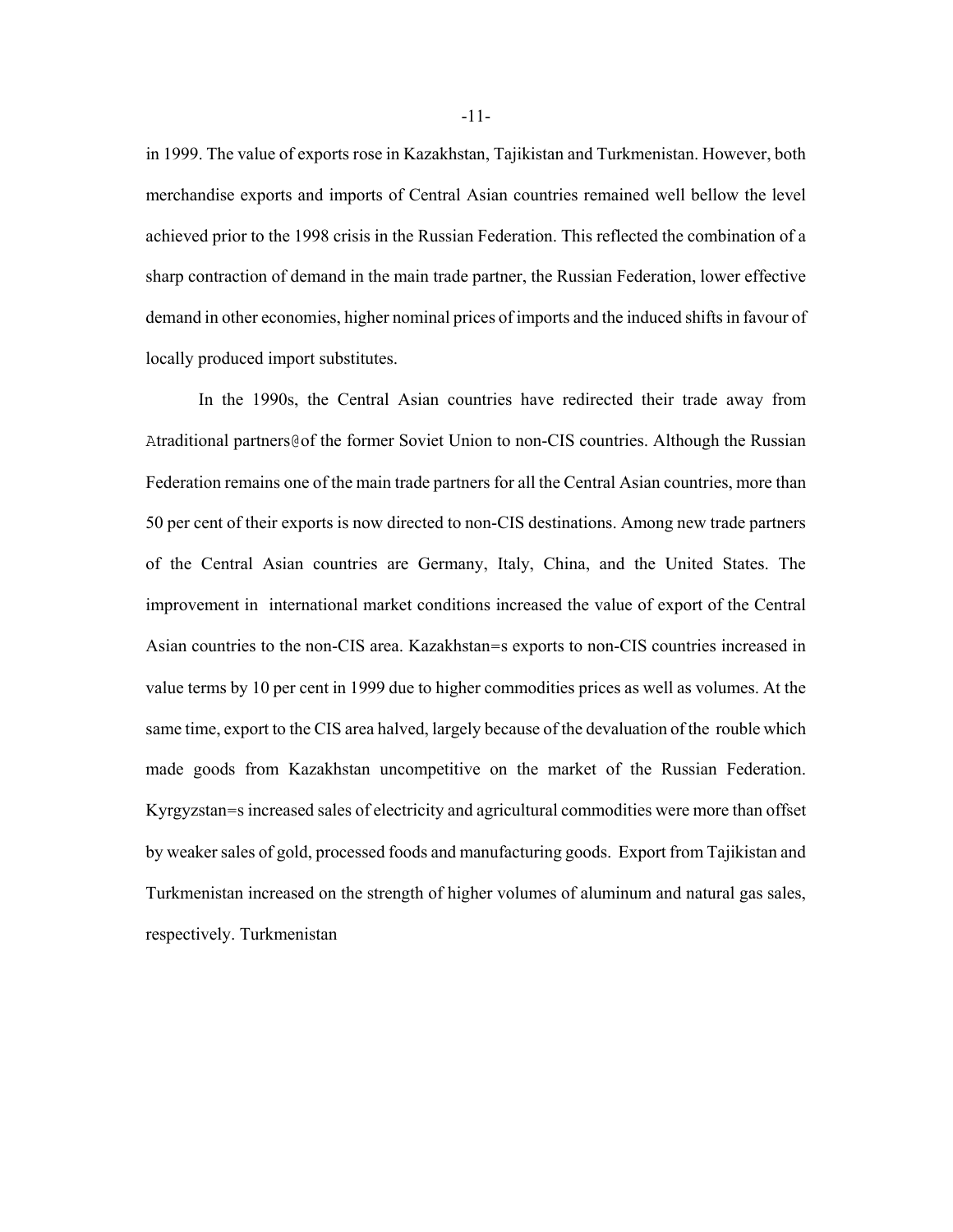in 1999. The value of exports rose in Kazakhstan, Tajikistan and Turkmenistan. However, both merchandise exports and imports of Central Asian countries remained well bellow the level achieved prior to the 1998 crisis in the Russian Federation. This reflected the combination of a sharp contraction of demand in the main trade partner, the Russian Federation, lower effective demand in other economies, higher nominal prices of imports and the induced shifts in favour of locally produced import substitutes.

In the 1990s, the Central Asian countries have redirected their trade away from Atraditional partners@of the former Soviet Union to non-CIS countries. Although the Russian Federation remains one of the main trade partners for all the Central Asian countries, more than 50 per cent of their exports is now directed to non-CIS destinations. Among new trade partners of the Central Asian countries are Germany, Italy, China, and the United States. The improvement in international market conditions increased the value of export of the Central Asian countries to the non-CIS area. Kazakhstan=s exports to non-CIS countries increased in value terms by 10 per cent in 1999 due to higher commodities prices as well as volumes. At the same time, export to the CIS area halved, largely because of the devaluation of the rouble which made goods from Kazakhstan uncompetitive on the market of the Russian Federation. Kyrgyzstan=s increased sales of electricity and agricultural commodities were more than offset by weaker sales of gold, processed foods and manufacturing goods. Export from Tajikistan and Turkmenistan increased on the strength of higher volumes of aluminum and natural gas sales, respectively. Turkmenistan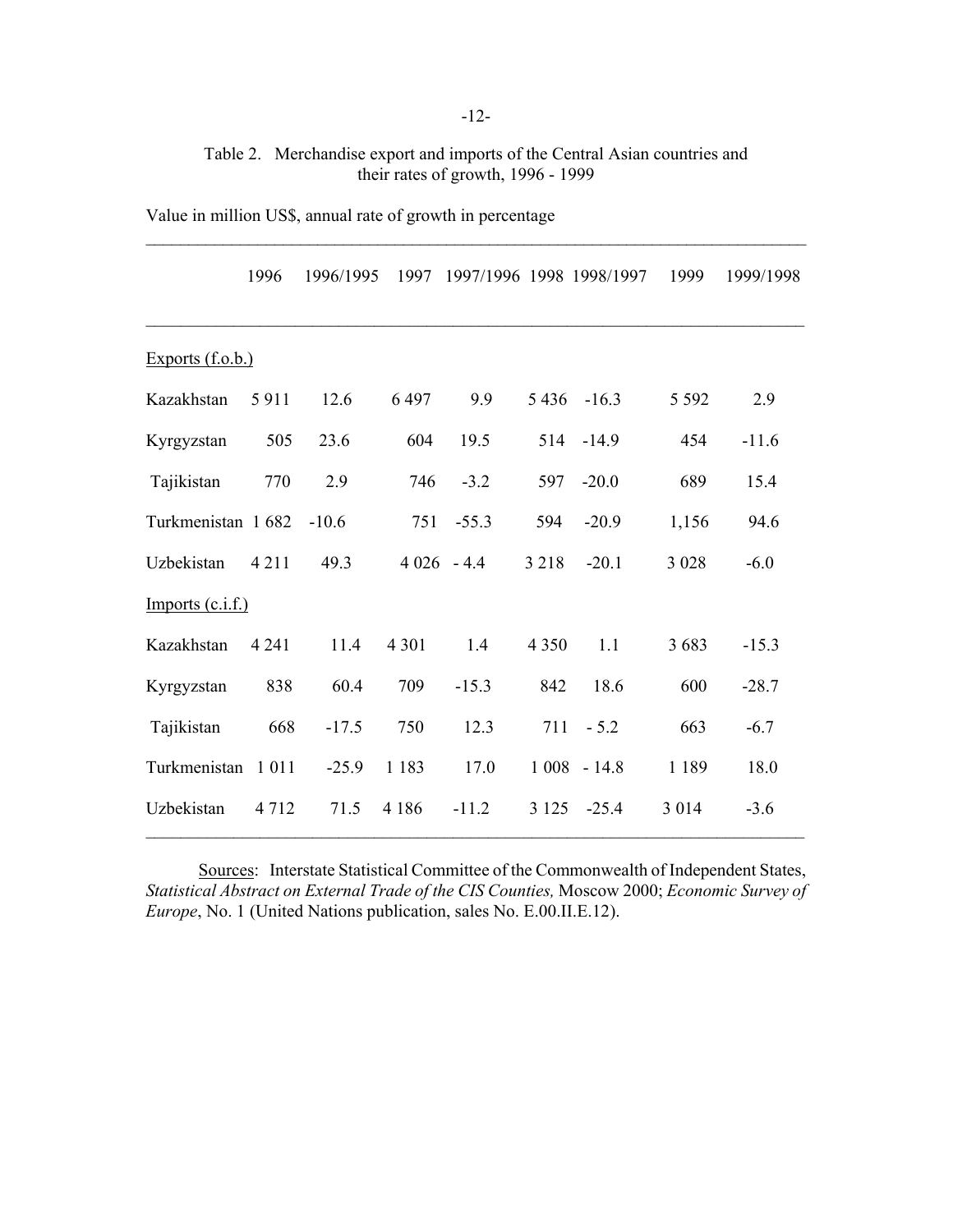## Table 2. Merchandise export and imports of the Central Asian countries and their rates of growth, 1996 - 1999

 $\_$  , and the contribution of the contribution of  $\mathcal{L}_\mathcal{A}$  , and the contribution of  $\mathcal{L}_\mathcal{A}$ 

|                    | 1996    | 1996/1995 | 1997         |         |         | 1997/1996 1998 1998/1997 | 1999    | 1999/1998 |
|--------------------|---------|-----------|--------------|---------|---------|--------------------------|---------|-----------|
|                    |         |           |              |         |         |                          |         |           |
| Exports $(f.o.b.)$ |         |           |              |         |         |                          |         |           |
| Kazakhstan         | 5911    | 12.6      | 6497         | 9.9     |         | $5436 - 16.3$            | 5 5 9 2 | 2.9       |
| Kyrgyzstan         | 505     | 23.6      | 604          | 19.5    |         | 514 -14.9                | 454     | $-11.6$   |
| Tajikistan         | 770     | 2.9       | 746          | $-3.2$  | 597     | $-20.0$                  | 689     | 15.4      |
| Turkmenistan 1682  |         | $-10.6$   | 751          | $-55.3$ | 594     | $-20.9$                  | 1,156   | 94.6      |
| Uzbekistan         | 4 2 1 1 | 49.3      | $4026 - 4.4$ |         | 3 2 1 8 | $-20.1$                  | 3 0 2 8 | $-6.0$    |
| $Imports$ (c.i.f.) |         |           |              |         |         |                          |         |           |
| Kazakhstan         | 4 2 4 1 | 11.4      | 4 3 0 1      | 1.4     | 4 3 5 0 | 1.1                      | 3683    | $-15.3$   |
| Kyrgyzstan         | 838     | 60.4      | 709          | $-15.3$ | 842     | 18.6                     | 600     | $-28.7$   |
| Tajikistan         | 668     | $-17.5$   | 750          | 12.3    | 711     | $-5.2$                   | 663     | $-6.7$    |
| Turkmenistan       | 1 0 1 1 | $-25.9$   | 1 1 8 3      | 17.0    |         | $1008 - 14.8$            | 1 1 8 9 | 18.0      |
| Uzbekistan         | 4 7 1 2 | 71.5      | 4 1 8 6      | $-11.2$ | 3 1 2 5 | $-25.4$                  | 3 0 1 4 | $-3.6$    |

Value in million US\$, annual rate of growth in percentage

Sources: Interstate Statistical Committee of the Commonwealth of Independent States, *Statistical Abstract on External Trade of the CIS Counties,* Moscow 2000; *Economic Survey of Europe*, No. 1 (United Nations publication, sales No. E.00.II.E.12).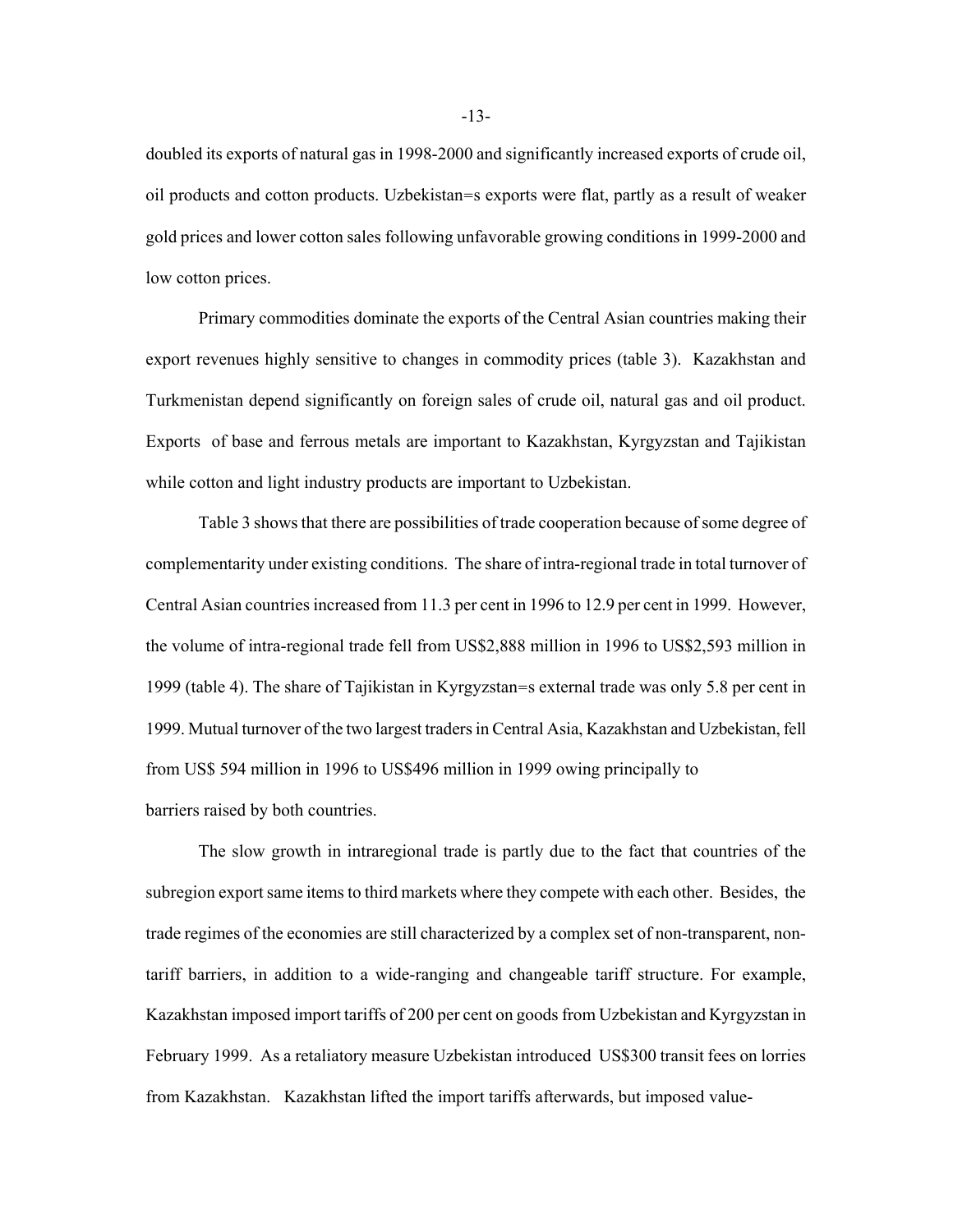doubled its exports of natural gas in 1998-2000 and significantly increased exports of crude oil, oil products and cotton products. Uzbekistan=s exports were flat, partly as a result of weaker gold prices and lower cotton sales following unfavorable growing conditions in 1999-2000 and low cotton prices.

Primary commodities dominate the exports of the Central Asian countries making their export revenues highly sensitive to changes in commodity prices (table 3). Kazakhstan and Turkmenistan depend significantly on foreign sales of crude oil, natural gas and oil product. Exports of base and ferrous metals are important to Kazakhstan, Kyrgyzstan and Tajikistan while cotton and light industry products are important to Uzbekistan.

Table 3 shows that there are possibilities of trade cooperation because of some degree of complementarity under existing conditions. The share of intra-regional trade in total turnover of Central Asian countries increased from 11.3 per cent in 1996 to 12.9 per cent in 1999. However, the volume of intra-regional trade fell from US\$2,888 million in 1996 to US\$2,593 million in 1999 (table 4). The share of Tajikistan in Kyrgyzstan=s external trade was only 5.8 per cent in 1999. Mutual turnover of the two largest traders in Central Asia, Kazakhstan and Uzbekistan, fell from US\$ 594 million in 1996 to US\$496 million in 1999 owing principally to barriers raised by both countries.

The slow growth in intraregional trade is partly due to the fact that countries of the subregion export same items to third markets where they compete with each other. Besides, the trade regimes of the economies are still characterized by a complex set of non-transparent, nontariff barriers, in addition to a wide-ranging and changeable tariff structure. For example, Kazakhstan imposed import tariffs of 200 per cent on goods from Uzbekistan and Kyrgyzstan in February 1999. As a retaliatory measure Uzbekistan introduced US\$300 transit fees on lorries from Kazakhstan. Kazakhstan lifted the import tariffs afterwards, but imposed value-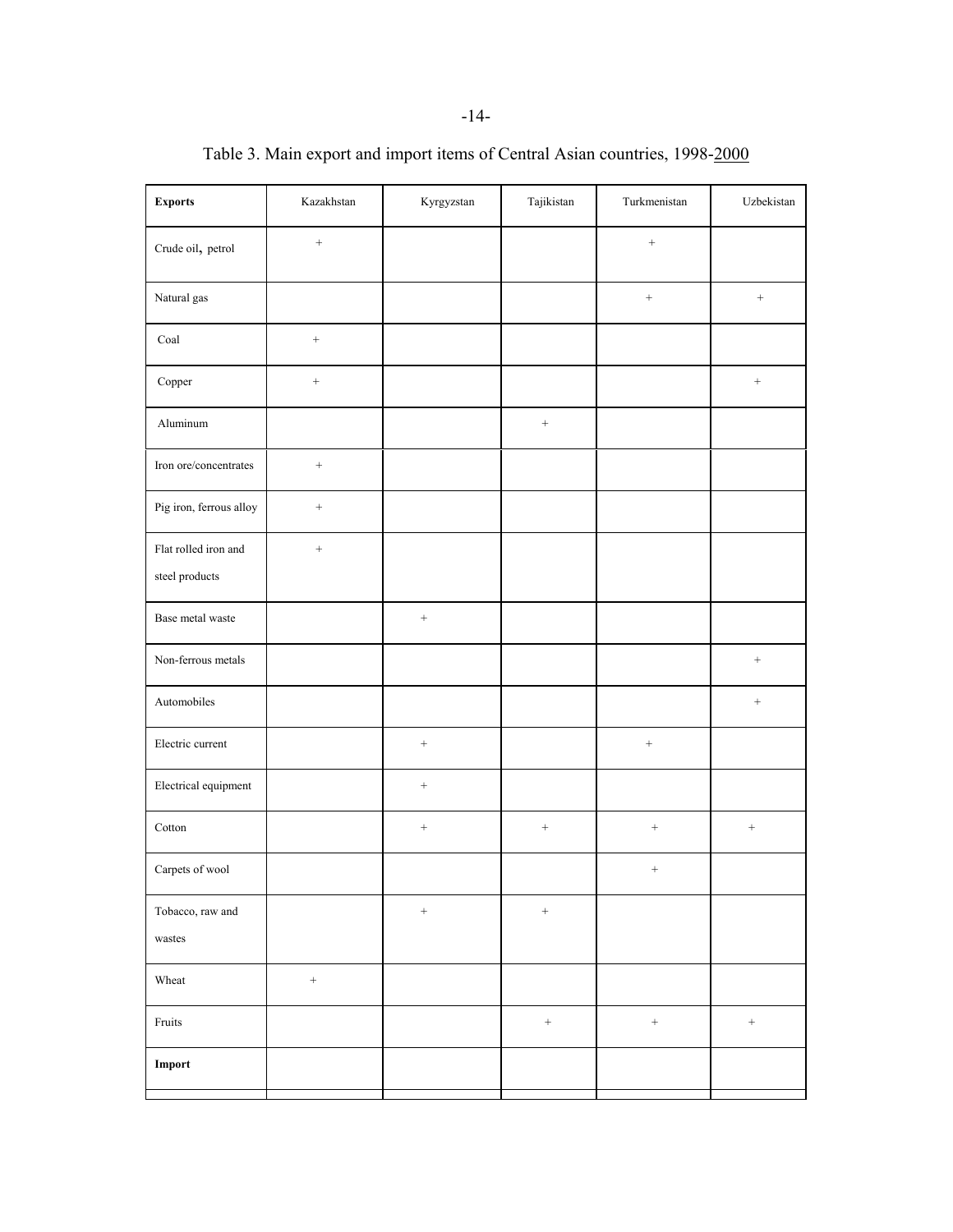| <b>Exports</b>                         | Kazakhstan         | Kyrgyzstan       | Tajikistan       | Turkmenistan        | Uzbekistan       |
|----------------------------------------|--------------------|------------------|------------------|---------------------|------------------|
| Crude oil, petrol                      | $\boldsymbol{+}$   |                  |                  | $\! +$              |                  |
| Natural gas                            |                    |                  |                  | $\boldsymbol{+}$    | $^+$             |
| Coal                                   | $\qquad \qquad +$  |                  |                  |                     |                  |
| Copper                                 | $\boldsymbol{+}$   |                  |                  |                     | $\boldsymbol{+}$ |
| Aluminum                               |                    |                  | $^+$             |                     |                  |
| Iron ore/concentrates                  | $\qquad \qquad +$  |                  |                  |                     |                  |
| Pig iron, ferrous alloy                | $\boldsymbol{+}$   |                  |                  |                     |                  |
| Flat rolled iron and<br>steel products | $\boldsymbol{+}$   |                  |                  |                     |                  |
| Base metal waste                       |                    | $^+$             |                  |                     |                  |
| Non-ferrous metals                     |                    |                  |                  |                     | $\boldsymbol{+}$ |
| Automobiles                            |                    |                  |                  |                     | $\boldsymbol{+}$ |
| Electric current                       |                    | $\boldsymbol{+}$ |                  | $\hspace{0.025cm}+$ |                  |
| Electrical equipment                   |                    | $^+$             |                  |                     |                  |
| Cotton                                 |                    | $^+$             | $\boldsymbol{+}$ | $\, +$              | $\! + \!\!\!\!$  |
| Carpets of wool                        |                    |                  |                  | $\boldsymbol{+}$    |                  |
| Tobacco, raw and<br>wastes             |                    | $\boldsymbol{+}$ | $\! + \!$        |                     |                  |
| Wheat                                  | $\hspace{1.0cm} +$ |                  |                  |                     |                  |
| Fruits                                 |                    |                  | $\boldsymbol{+}$ | $\boldsymbol{+}$    | $\boldsymbol{+}$ |
| Import                                 |                    |                  |                  |                     |                  |

Table 3. Main export and import items of Central Asian countries, 1998-2000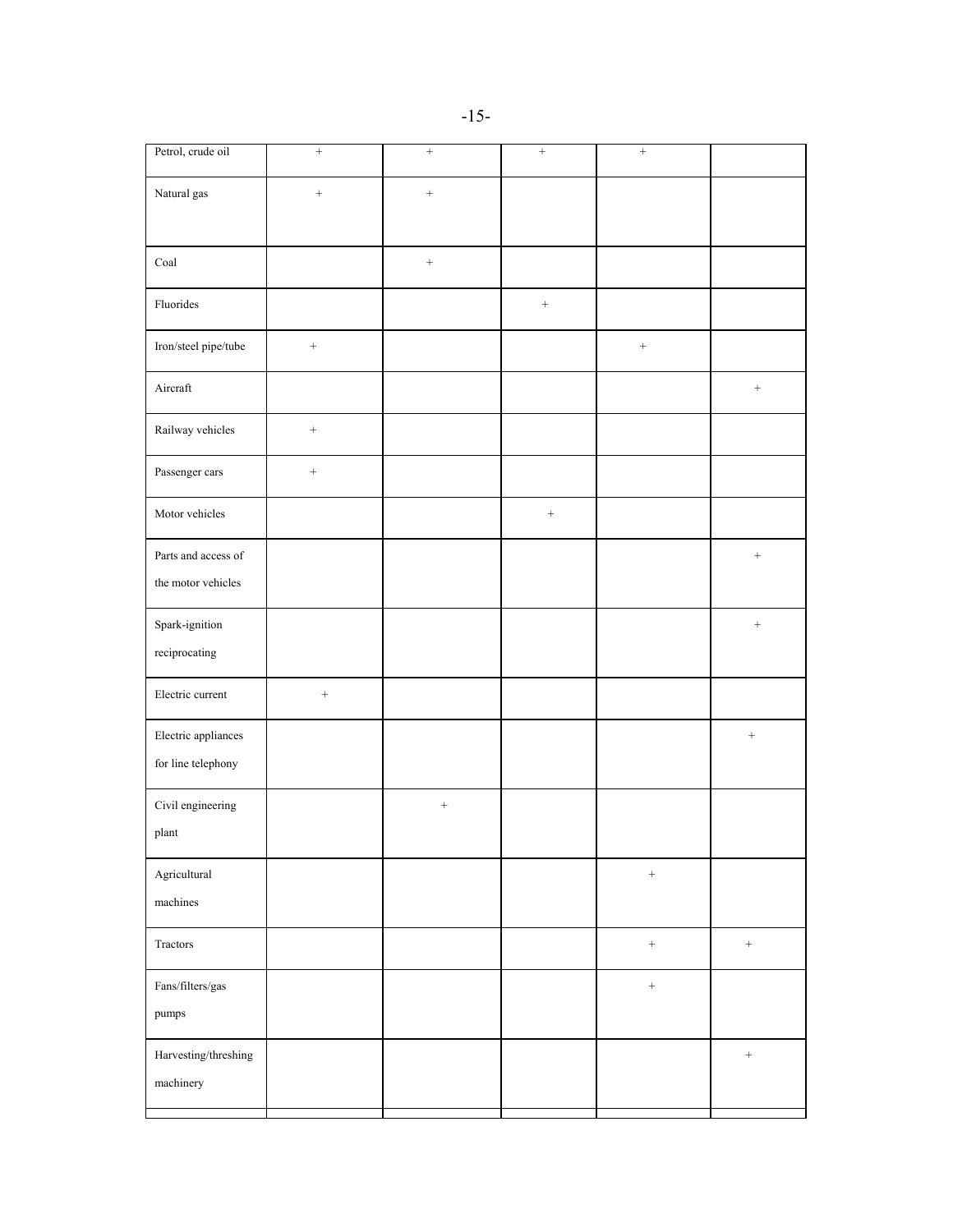| Petrol, crude oil         | $+$               | $\qquad \qquad +$ | $\boldsymbol{+}$ | $\qquad \qquad +$ |                  |
|---------------------------|-------------------|-------------------|------------------|-------------------|------------------|
| Natural gas               | $+$               | $\qquad \qquad +$ |                  |                   |                  |
|                           |                   |                   |                  |                   |                  |
| $_{\rm{Coal}}$            |                   | $\qquad \qquad +$ |                  |                   |                  |
| Fluorides                 |                   |                   | $^+$             |                   |                  |
| Iron/steel pipe/tube      | $\qquad \qquad +$ |                   |                  | $\boldsymbol{+}$  |                  |
| Aircraft                  |                   |                   |                  |                   | $\! +$           |
| Railway vehicles          | $\! +$            |                   |                  |                   |                  |
| Passenger cars            | $\boldsymbol{+}$  |                   |                  |                   |                  |
| Motor vehicles            |                   |                   | $\boldsymbol{+}$ |                   |                  |
| Parts and access of       |                   |                   |                  |                   | $\! +$           |
| the motor vehicles        |                   |                   |                  |                   |                  |
| Spark-ignition            |                   |                   |                  |                   | $\! + \!$        |
| reciprocating             |                   |                   |                  |                   |                  |
| Electric current          | $\qquad \qquad +$ |                   |                  |                   |                  |
| Electric appliances       |                   |                   |                  |                   | $\boldsymbol{+}$ |
| for line telephony        |                   |                   |                  |                   |                  |
| Civil engineering         |                   | $\boldsymbol{+}$  |                  |                   |                  |
| plant                     |                   |                   |                  |                   |                  |
| Agricultural              |                   |                   |                  | $\boldsymbol{+}$  |                  |
| $\,$ machines             |                   |                   |                  |                   |                  |
| Tractors                  |                   |                   |                  | $\boldsymbol{+}$  | $\boldsymbol{+}$ |
| $\mbox{Fans/filters/gas}$ |                   |                   |                  | $\boldsymbol{+}$  |                  |
| pumps                     |                   |                   |                  |                   |                  |
| Harvesting/threshing      |                   |                   |                  |                   | $^+$             |
| machinery                 |                   |                   |                  |                   |                  |
|                           |                   |                   |                  |                   |                  |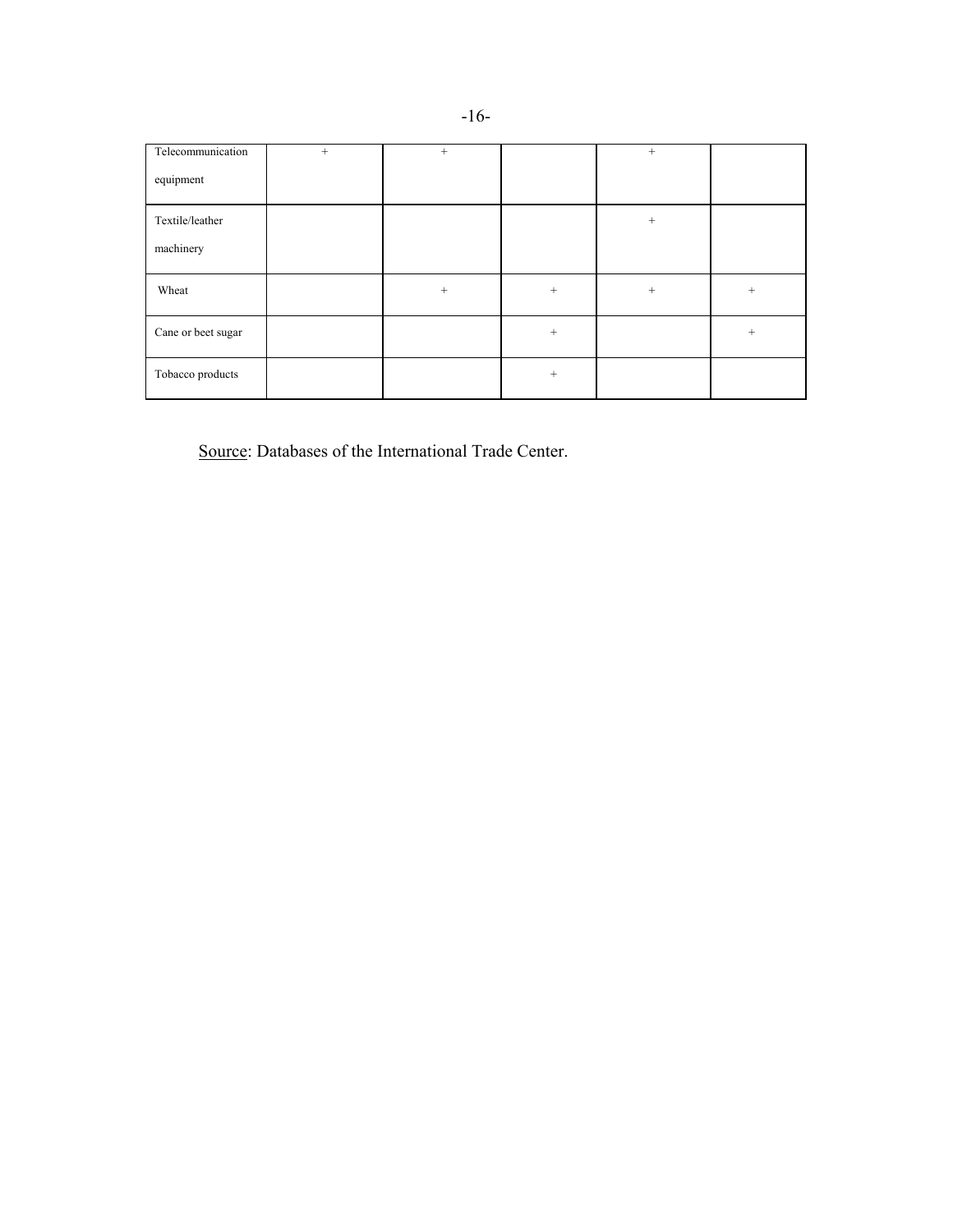| Telecommunication  | $^{+}$ | $+$ |        | $+$    |     |
|--------------------|--------|-----|--------|--------|-----|
| equipment          |        |     |        |        |     |
| Textile/leather    |        |     |        | $^{+}$ |     |
| machinery          |        |     |        |        |     |
| Wheat              |        | $+$ | $^{+}$ | $+$    | $+$ |
| Cane or beet sugar |        |     | $^{+}$ |        | $+$ |
| Tobacco products   |        |     | $+$    |        |     |

Source: Databases of the International Trade Center.

-16-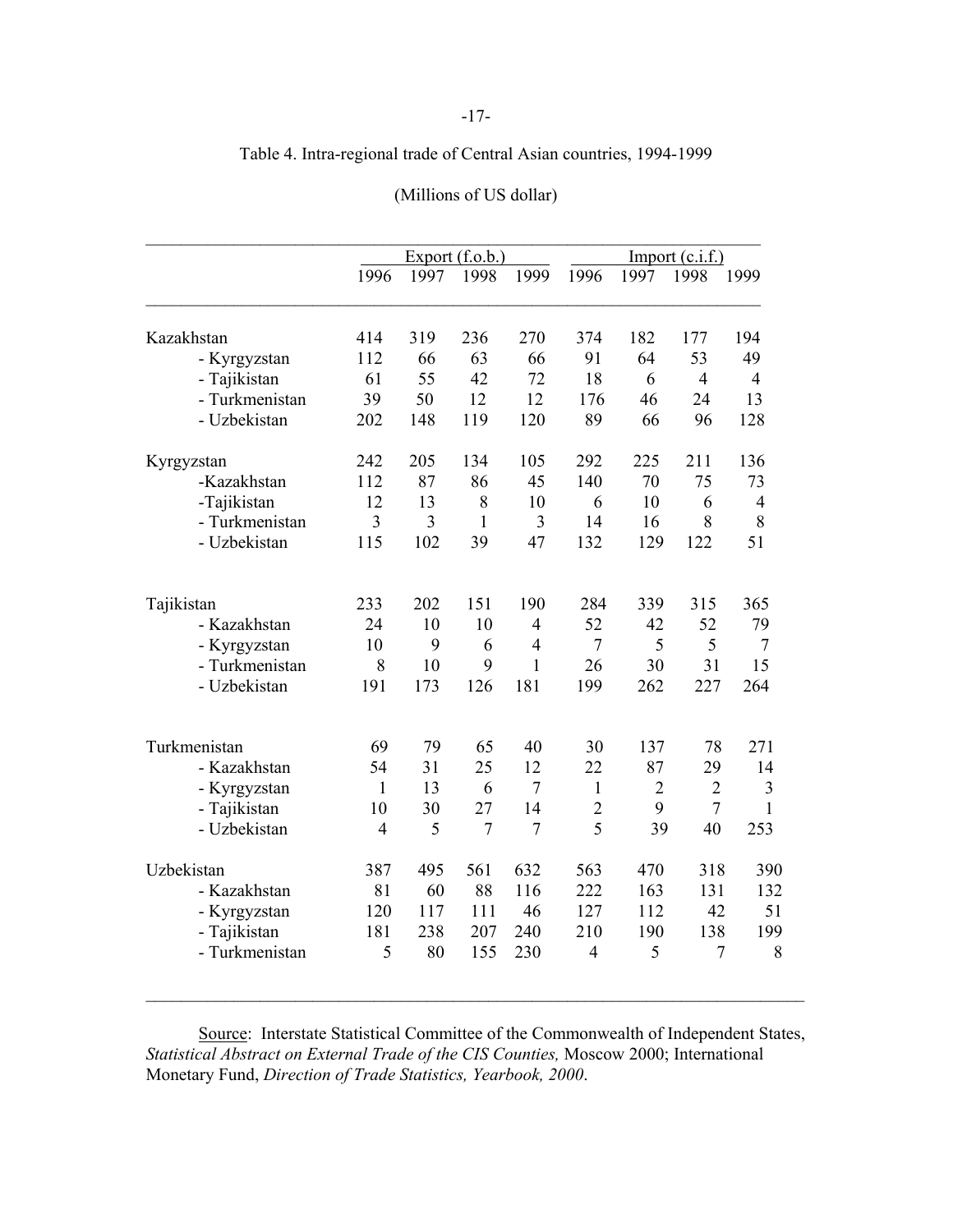# Table 4. Intra-regional trade of Central Asian countries, 1994-1999

|                | Export $(f.o.b.)$        |      |                | Import $(c.i.f.)$ |                |                |                |                |
|----------------|--------------------------|------|----------------|-------------------|----------------|----------------|----------------|----------------|
|                | 1996                     | 1997 | 1998           | 1999              | 1996           | 1997           | 1998           | 1999           |
| Kazakhstan     | 414                      | 319  | 236            | 270               | 374            | 182            | 177            | 194            |
| - Kyrgyzstan   | 112                      | 66   | 63             | 66                | 91             | 64             | 53             | 49             |
| - Tajikistan   | 61                       | 55   | 42             | 72                | 18             | 6              | $\overline{4}$ | $\overline{4}$ |
| - Turkmenistan | 39                       | 50   | 12             | 12                | 176            | 46             | 24             | 13             |
| - Uzbekistan   | 202                      | 148  | 119            | 120               | 89             | 66             | 96             | 128            |
| Kyrgyzstan     | 242                      | 205  | 134            | 105               | 292            | 225            | 211            | 136            |
| -Kazakhstan    | 112                      | 87   | 86             | 45                | 140            | 70             | 75             | 73             |
| -Tajikistan    | 12                       | 13   | 8              | 10                | 6              | 10             | 6              | 4              |
| - Turkmenistan | 3                        | 3    | $\mathbf{1}$   | 3                 | 14             | 16             | 8              | 8              |
| - Uzbekistan   | 115                      | 102  | 39             | 47                | 132            | 129            | 122            | 51             |
| Tajikistan     | 233                      | 202  | 151            | 190               | 284            | 339            | 315            | 365            |
| - Kazakhstan   | 24                       | 10   | 10             | $\overline{4}$    | 52             | 42             | 52             | 79             |
| - Kyrgyzstan   | 10                       | 9    | 6              | $\overline{4}$    | $\overline{7}$ | 5              | 5              | $\tau$         |
| - Turkmenistan | 8                        | 10   | 9              | $\mathbf{1}$      | 26             | 30             | 31             | 15             |
| - Uzbekistan   | 191                      | 173  | 126            | 181               | 199            | 262            | 227            | 264            |
| Turkmenistan   | 69                       | 79   | 65             | 40                | 30             | 137            | 78             | 271            |
| - Kazakhstan   | 54                       | 31   | 25             | 12                | 22             | 87             | 29             | 14             |
| - Kyrgyzstan   | $\mathbf{1}$             | 13   | 6              | $\tau$            | $\mathbf{1}$   | $\overline{2}$ | $\overline{2}$ | 3              |
| - Tajikistan   | 10                       | 30   | 27             | 14                | $\overline{2}$ | 9              | $\overline{7}$ | $\mathbf{1}$   |
| - Uzbekistan   | $\overline{\mathcal{A}}$ | 5    | $\overline{7}$ | $\overline{7}$    | 5              | 39             | 40             | 253            |
| Uzbekistan     | 387                      | 495  | 561            | 632               | 563            | 470            | 318            | 390            |
| - Kazakhstan   | 81                       | 60   | 88             | 116               | 222            | 163            | 131            | 132            |
| - Kyrgyzstan   | 120                      | 117  | 111            | 46                | 127            | 112            | 42             | 51             |
| - Tajikistan   | 181                      | 238  | 207            | 240               | 210            | 190            | 138            | 199            |
| - Turkmenistan | 5                        | 80   | 155            | 230               | $\overline{4}$ | 5              | $\overline{7}$ |                |

# (Millions of US dollar)

Source: Interstate Statistical Committee of the Commonwealth of Independent States, *Statistical Abstract on External Trade of the CIS Counties,* Moscow 2000; International Monetary Fund, *Direction of Trade Statistics, Yearbook, 2000*.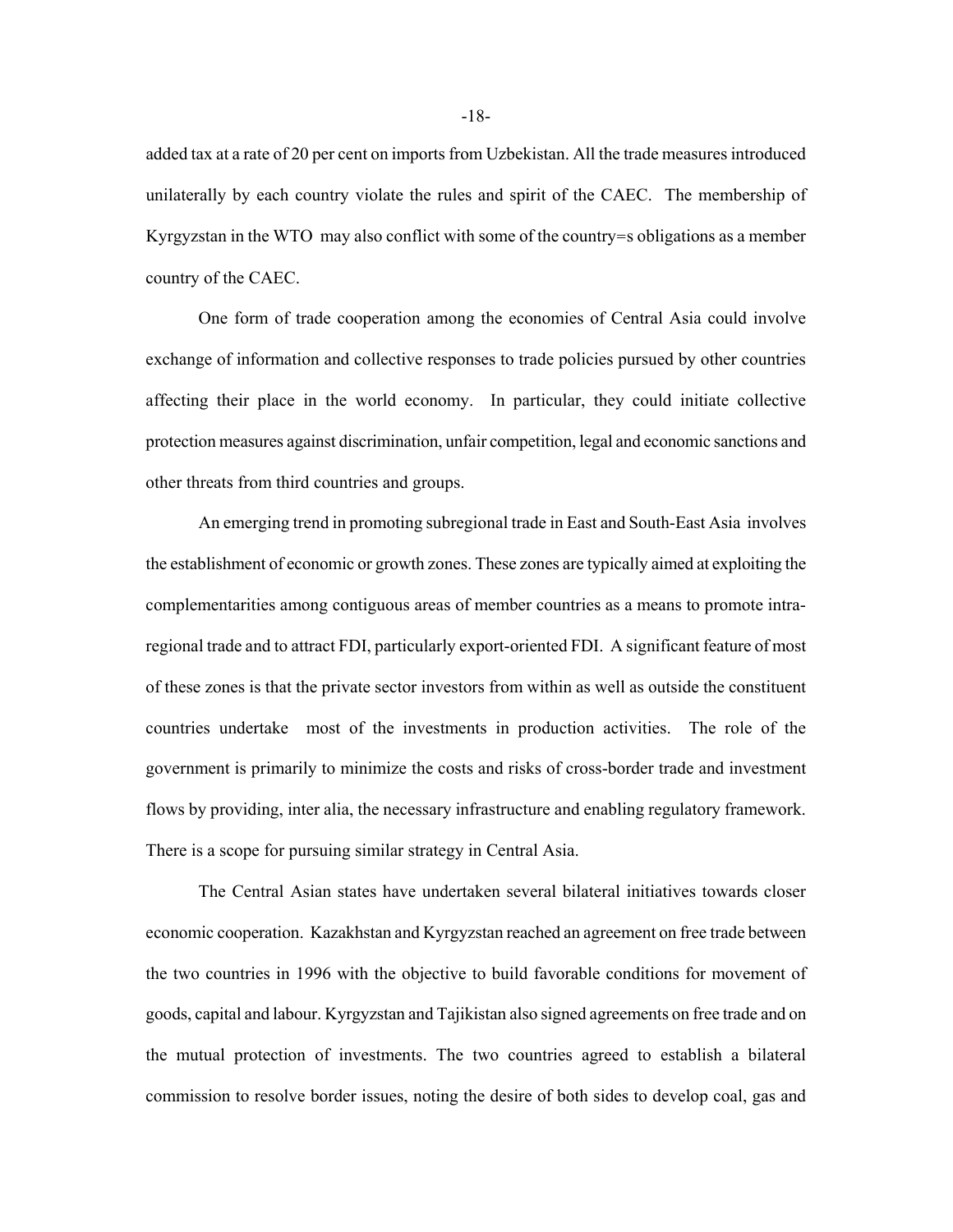added tax at a rate of 20 per cent on imports from Uzbekistan. All the trade measures introduced unilaterally by each country violate the rules and spirit of the CAEC. The membership of Kyrgyzstan in the WTO may also conflict with some of the country=s obligations as a member country of the CAEC.

One form of trade cooperation among the economies of Central Asia could involve exchange of information and collective responses to trade policies pursued by other countries affecting their place in the world economy. In particular, they could initiate collective protection measures against discrimination, unfair competition, legal and economic sanctions and other threats from third countries and groups.

An emerging trend in promoting subregional trade in East and South-East Asia involves the establishment of economic or growth zones. These zones are typically aimed at exploiting the complementarities among contiguous areas of member countries as a means to promote intraregional trade and to attract FDI, particularly export-oriented FDI. A significant feature of most of these zones is that the private sector investors from within as well as outside the constituent countries undertake most of the investments in production activities. The role of the government is primarily to minimize the costs and risks of cross-border trade and investment flows by providing, inter alia, the necessary infrastructure and enabling regulatory framework. There is a scope for pursuing similar strategy in Central Asia.

 The Central Asian states have undertaken several bilateral initiatives towards closer economic cooperation. Kazakhstan and Kyrgyzstan reached an agreement on free trade between the two countries in 1996 with the objective to build favorable conditions for movement of goods, capital and labour. Kyrgyzstan and Tajikistan also signed agreements on free trade and on the mutual protection of investments. The two countries agreed to establish a bilateral commission to resolve border issues, noting the desire of both sides to develop coal, gas and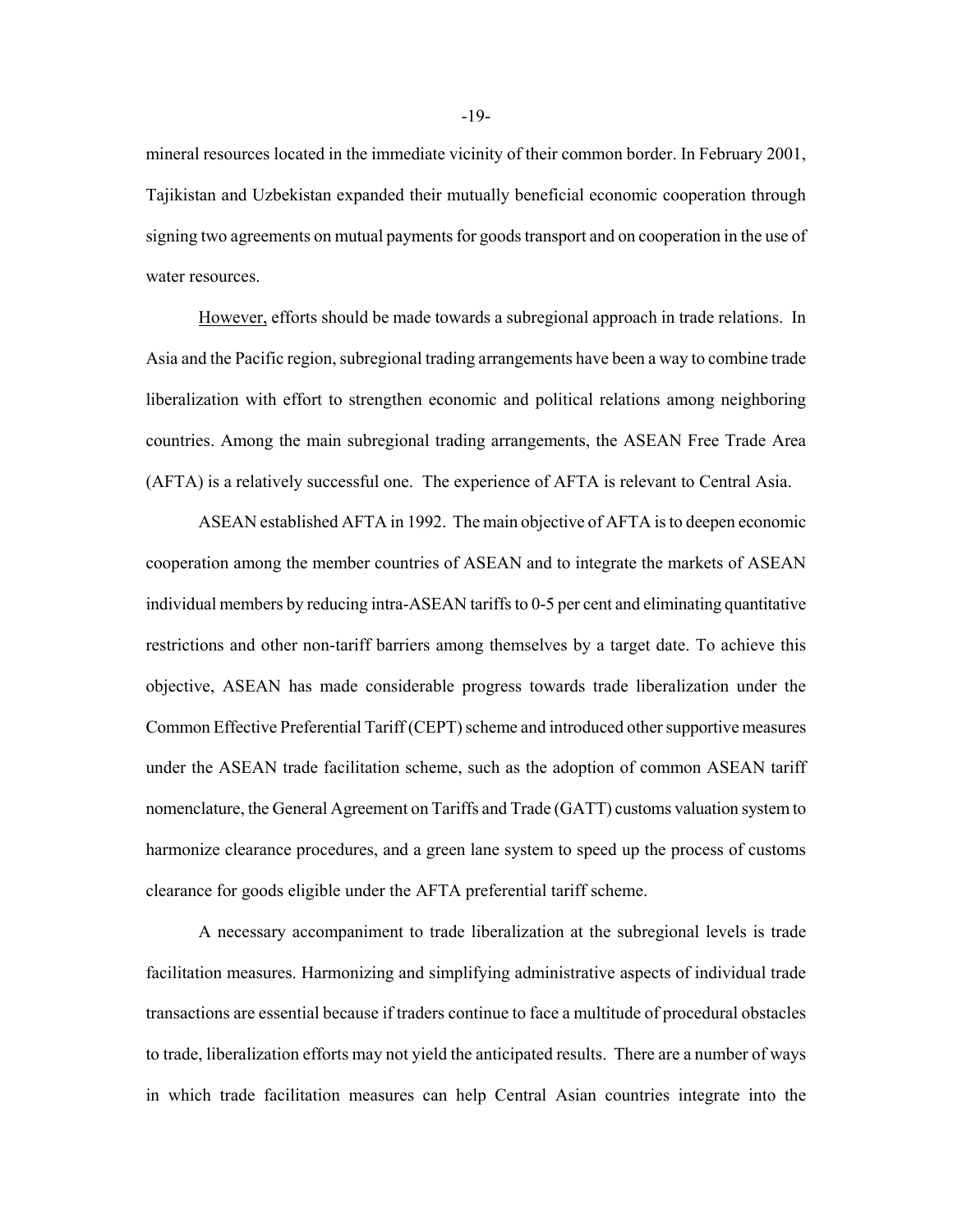mineral resources located in the immediate vicinity of their common border. In February 2001, Tajikistan and Uzbekistan expanded their mutually beneficial economic cooperation through signing two agreements on mutual payments for goods transport and on cooperation in the use of water resources.

However, efforts should be made towards a subregional approach in trade relations. In Asia and the Pacific region, subregional trading arrangements have been a way to combine trade liberalization with effort to strengthen economic and political relations among neighboring countries. Among the main subregional trading arrangements, the ASEAN Free Trade Area (AFTA) is a relatively successful one. The experience of AFTA is relevant to Central Asia.

ASEAN established AFTA in 1992. The main objective of AFTA is to deepen economic cooperation among the member countries of ASEAN and to integrate the markets of ASEAN individual members by reducing intra-ASEAN tariffs to 0-5 per cent and eliminating quantitative restrictions and other non-tariff barriers among themselves by a target date. To achieve this objective, ASEAN has made considerable progress towards trade liberalization under the Common Effective Preferential Tariff (CEPT) scheme and introduced other supportive measures under the ASEAN trade facilitation scheme, such as the adoption of common ASEAN tariff nomenclature, the General Agreement on Tariffs and Trade (GATT) customs valuation system to harmonize clearance procedures, and a green lane system to speed up the process of customs clearance for goods eligible under the AFTA preferential tariff scheme.

A necessary accompaniment to trade liberalization at the subregional levels is trade facilitation measures. Harmonizing and simplifying administrative aspects of individual trade transactions are essential because if traders continue to face a multitude of procedural obstacles to trade, liberalization efforts may not yield the anticipated results. There are a number of ways in which trade facilitation measures can help Central Asian countries integrate into the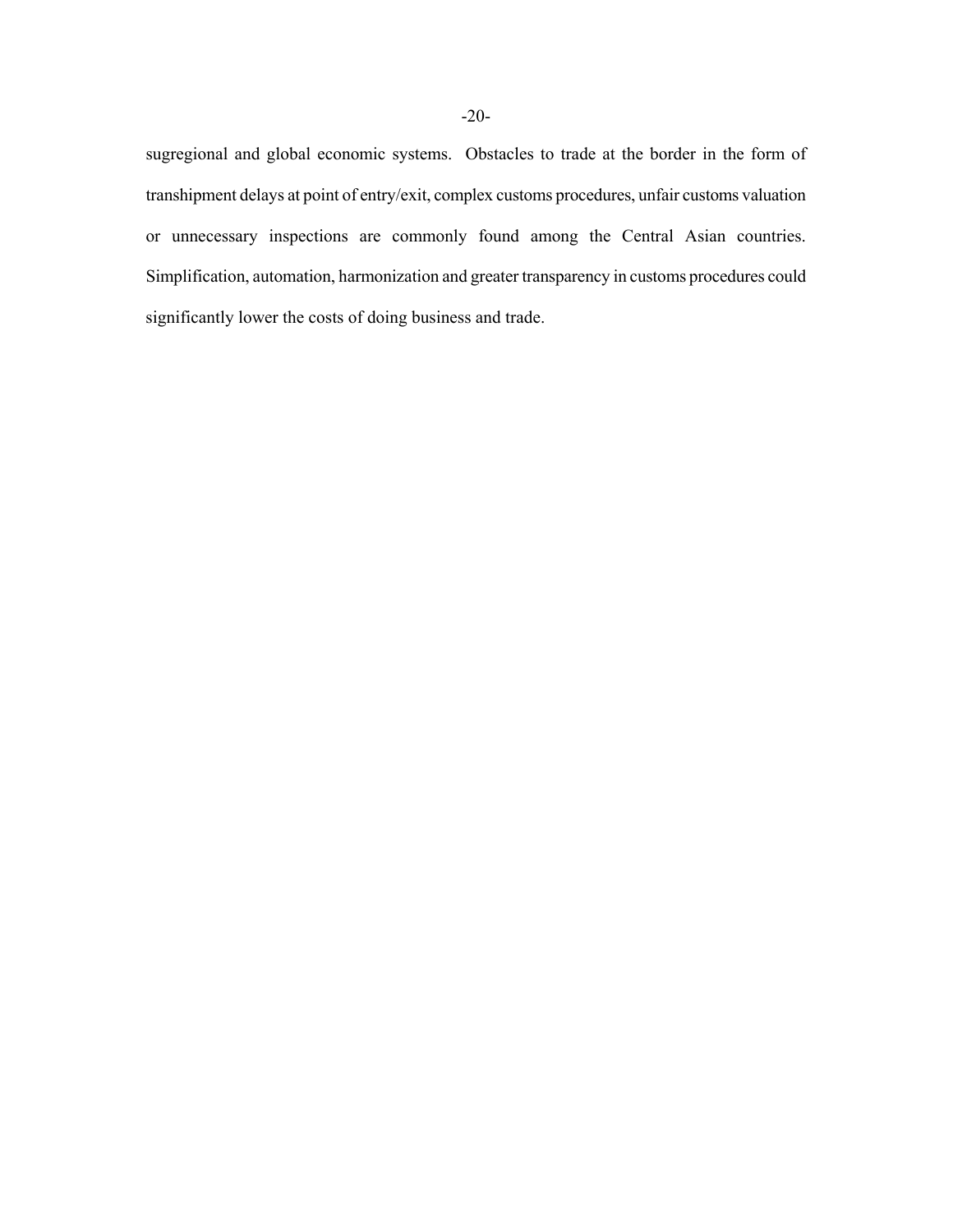sugregional and global economic systems. Obstacles to trade at the border in the form of transhipment delays at point of entry/exit, complex customs procedures, unfair customs valuation or unnecessary inspections are commonly found among the Central Asian countries. Simplification, automation, harmonization and greater transparency in customs procedures could significantly lower the costs of doing business and trade.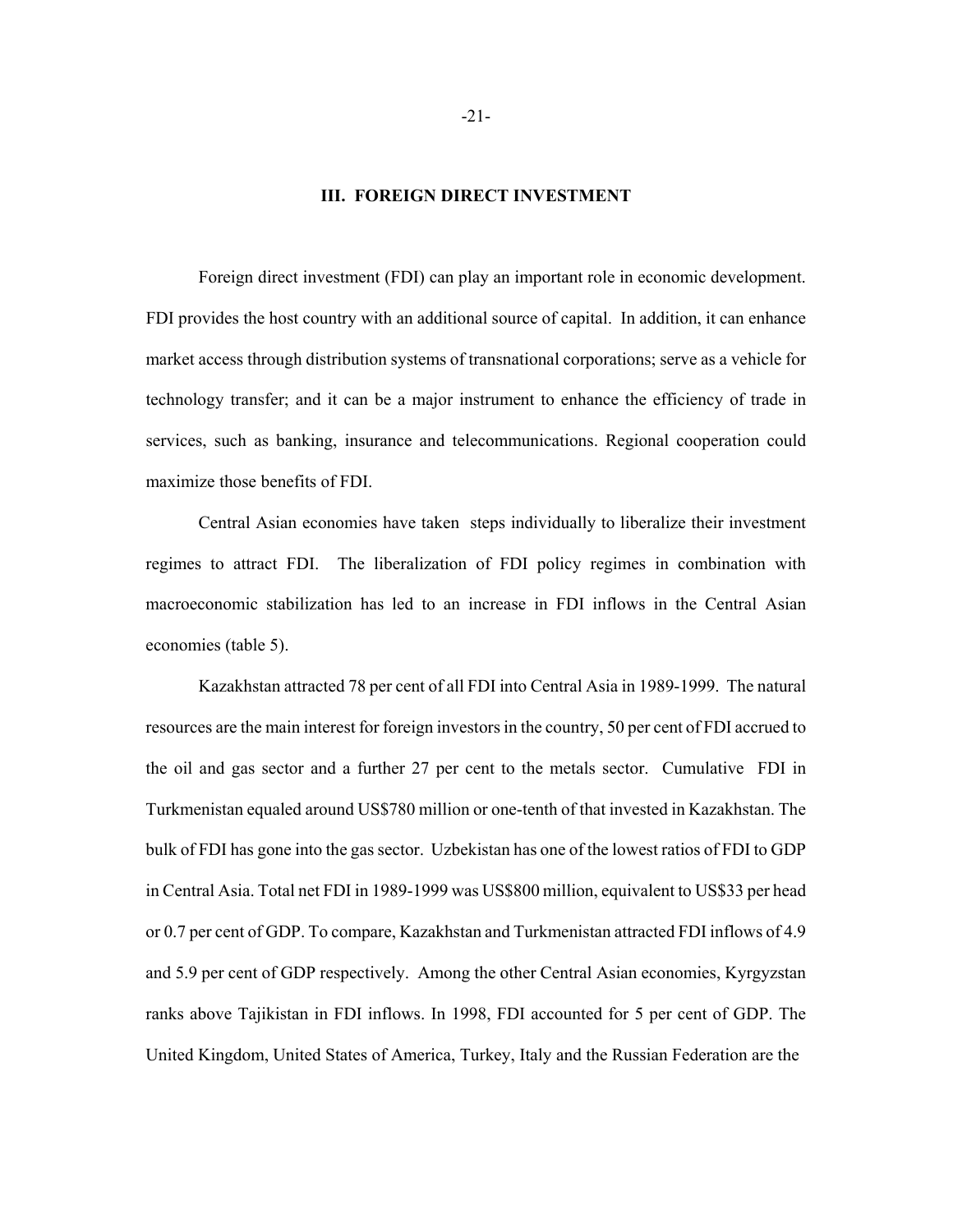#### **III. FOREIGN DIRECT INVESTMENT**

Foreign direct investment (FDI) can play an important role in economic development. FDI provides the host country with an additional source of capital. In addition, it can enhance market access through distribution systems of transnational corporations; serve as a vehicle for technology transfer; and it can be a major instrument to enhance the efficiency of trade in services, such as banking, insurance and telecommunications. Regional cooperation could maximize those benefits of FDI.

Central Asian economies have taken steps individually to liberalize their investment regimes to attract FDI. The liberalization of FDI policy regimes in combination with macroeconomic stabilization has led to an increase in FDI inflows in the Central Asian economies (table 5).

Kazakhstan attracted 78 per cent of all FDI into Central Asia in 1989-1999. The natural resources are the main interest for foreign investors in the country, 50 per cent of FDI accrued to the oil and gas sector and a further 27 per cent to the metals sector. Cumulative FDI in Turkmenistan equaled around US\$780 million or one-tenth of that invested in Kazakhstan. The bulk of FDI has gone into the gas sector. Uzbekistan has one of the lowest ratios of FDI to GDP in Central Asia. Total net FDI in 1989-1999 was US\$800 million, equivalent to US\$33 per head or 0.7 per cent of GDP. To compare, Kazakhstan and Turkmenistan attracted FDI inflows of 4.9 and 5.9 per cent of GDP respectively. Among the other Central Asian economies, Kyrgyzstan ranks above Tajikistan in FDI inflows. In 1998, FDI accounted for 5 per cent of GDP. The United Kingdom, United States of America, Turkey, Italy and the Russian Federation are the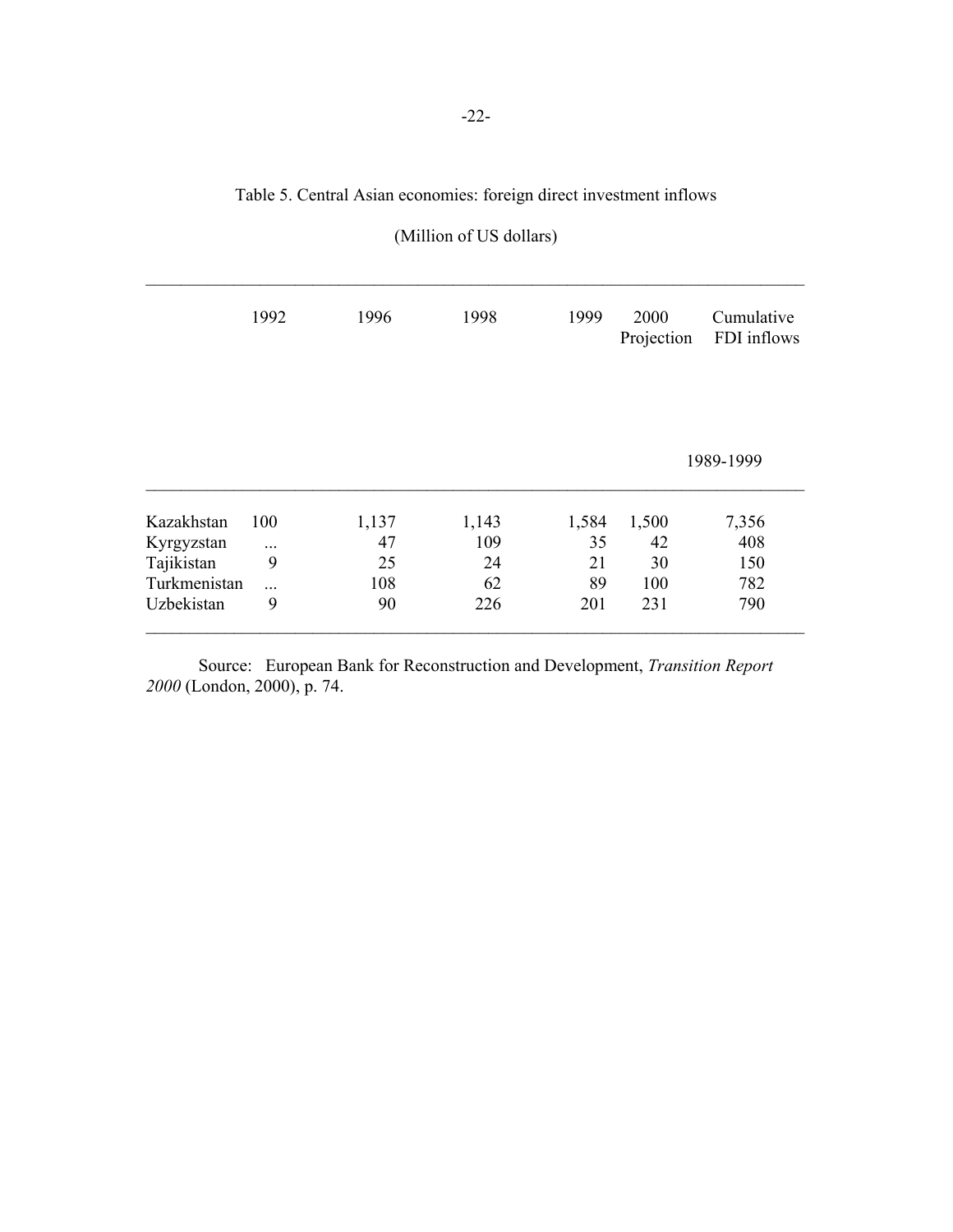# Table 5. Central Asian economies: foreign direct investment inflows

|              | 1992 | 1996  | 1998  | 1999  | 2000<br>Projection | Cumulative<br>FDI inflows |
|--------------|------|-------|-------|-------|--------------------|---------------------------|
|              |      |       |       |       |                    |                           |
|              |      |       |       |       |                    | 1989-1999                 |
| Kazakhstan   | 100  | 1,137 | 1,143 | 1,584 | 1,500              | 7,356                     |
| Kyrgyzstan   |      | 47    | 109   | 35    | 42                 | 408                       |
| Tajikistan   | 9    | 25    | 24    | 21    | 30                 | 150                       |
| Turkmenistan | .    | 108   | 62    | 89    | 100                | 782                       |
| Uzbekistan   | 9    | 90    | 226   | 201   | 231                | 790                       |

Source: European Bank for Reconstruction and Development, *Transition Report 2000* (London, 2000), p. 74.

# (Million of US dollars)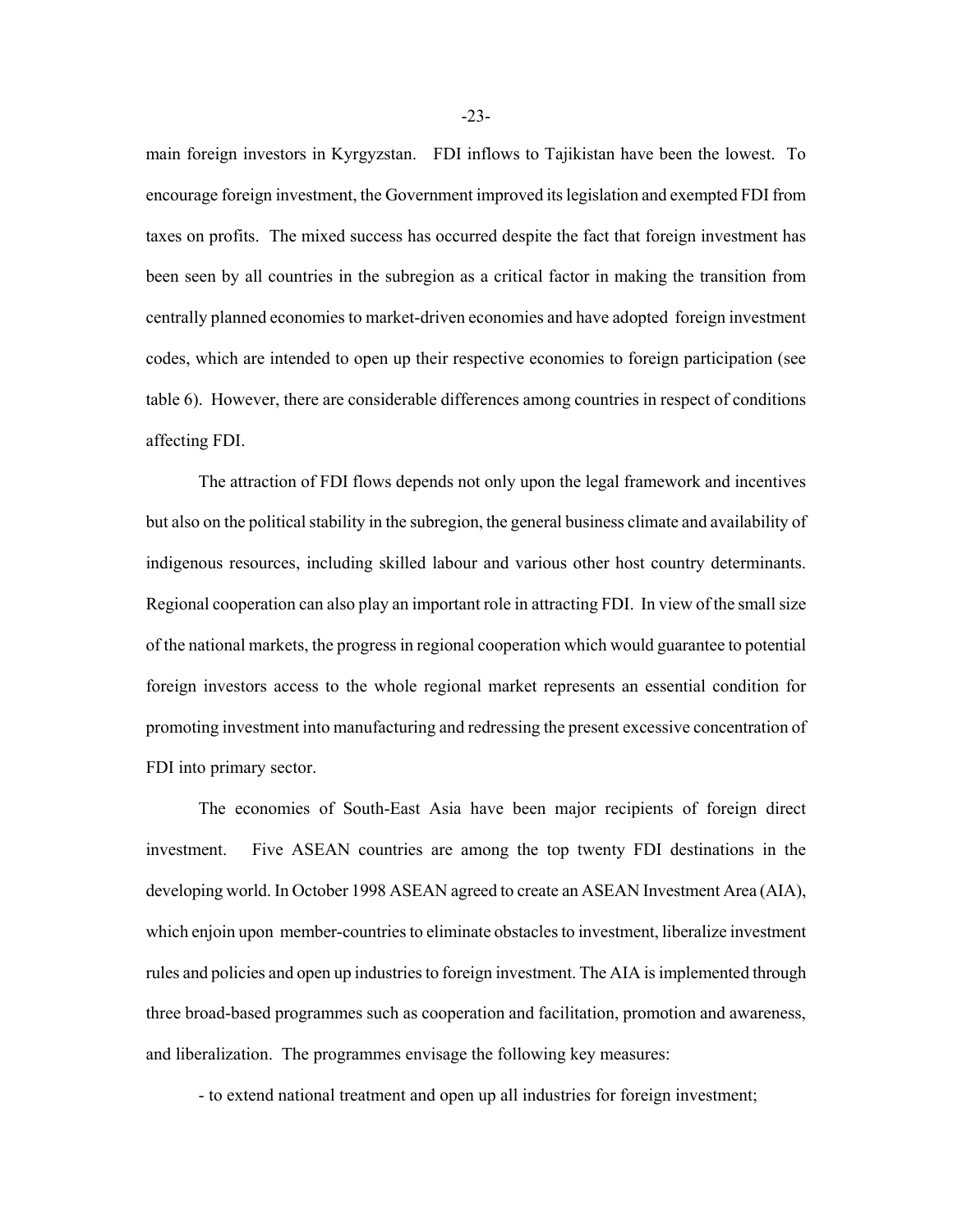main foreign investors in Kyrgyzstan. FDI inflows to Tajikistan have been the lowest. To encourage foreign investment, the Government improved its legislation and exempted FDI from taxes on profits. The mixed success has occurred despite the fact that foreign investment has been seen by all countries in the subregion as a critical factor in making the transition from centrally planned economies to market-driven economies and have adopted foreign investment codes, which are intended to open up their respective economies to foreign participation (see table 6). However, there are considerable differences among countries in respect of conditions affecting FDI.

The attraction of FDI flows depends not only upon the legal framework and incentives but also on the political stability in the subregion, the general business climate and availability of indigenous resources, including skilled labour and various other host country determinants. Regional cooperation can also play an important role in attracting FDI. In view of the small size of the national markets, the progress in regional cooperation which would guarantee to potential foreign investors access to the whole regional market represents an essential condition for promoting investment into manufacturing and redressing the present excessive concentration of FDI into primary sector.

The economies of South-East Asia have been major recipients of foreign direct investment. Five ASEAN countries are among the top twenty FDI destinations in the developing world. In October 1998 ASEAN agreed to create an ASEAN Investment Area (AIA), which enjoin upon member-countries to eliminate obstacles to investment, liberalize investment rules and policies and open up industries to foreign investment. The AIA is implemented through three broad-based programmes such as cooperation and facilitation, promotion and awareness, and liberalization. The programmes envisage the following key measures:

- to extend national treatment and open up all industries for foreign investment;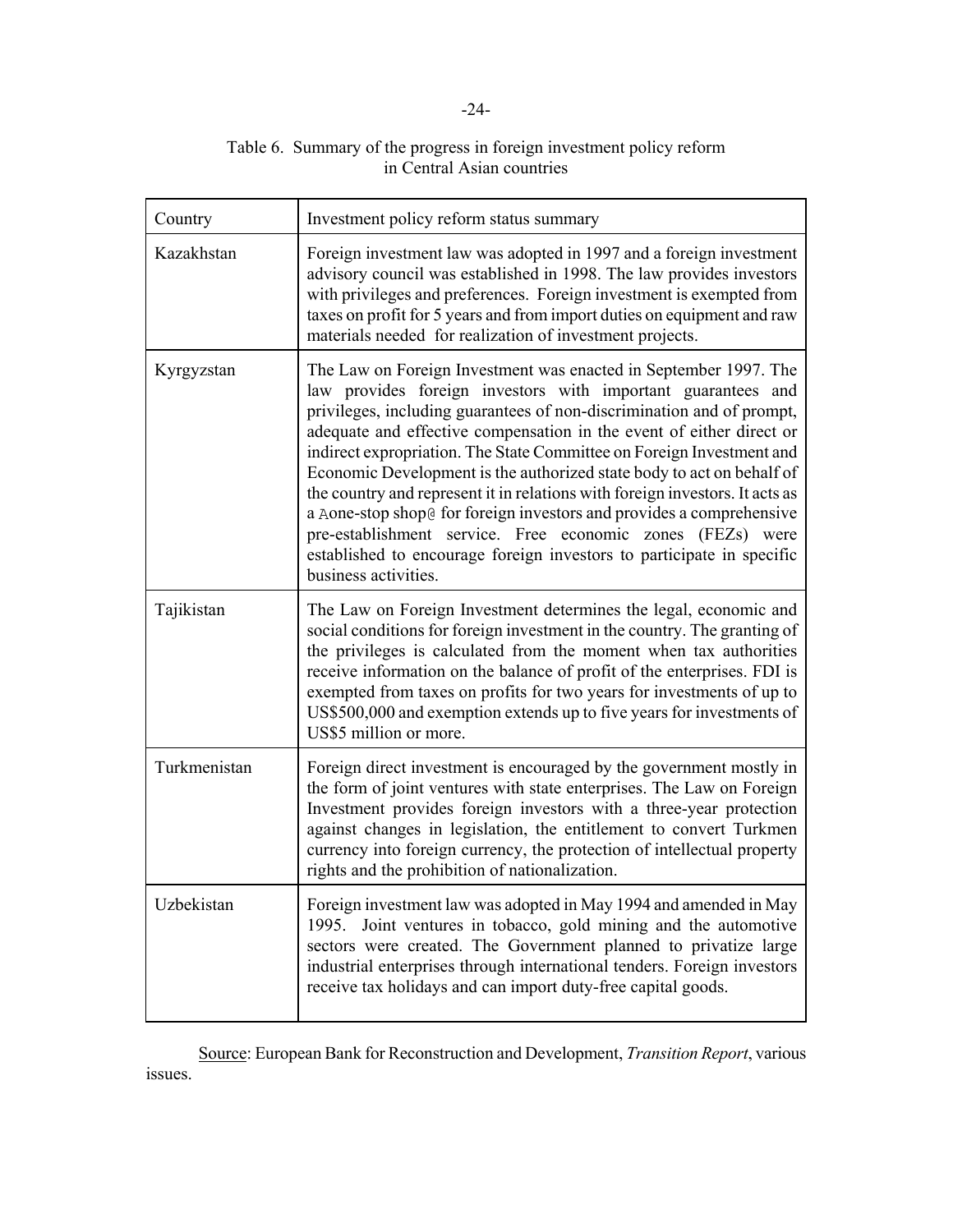| Table 6. Summary of the progress in foreign investment policy reform |
|----------------------------------------------------------------------|
| in Central Asian countries                                           |

| Country      | Investment policy reform status summary                                                                                                                                                                                                                                                                                                                                                                                                                                                                                                                                                                                                                                                                                                                    |
|--------------|------------------------------------------------------------------------------------------------------------------------------------------------------------------------------------------------------------------------------------------------------------------------------------------------------------------------------------------------------------------------------------------------------------------------------------------------------------------------------------------------------------------------------------------------------------------------------------------------------------------------------------------------------------------------------------------------------------------------------------------------------------|
| Kazakhstan   | Foreign investment law was adopted in 1997 and a foreign investment<br>advisory council was established in 1998. The law provides investors<br>with privileges and preferences. Foreign investment is exempted from<br>taxes on profit for 5 years and from import duties on equipment and raw<br>materials needed for realization of investment projects.                                                                                                                                                                                                                                                                                                                                                                                                 |
| Kyrgyzstan   | The Law on Foreign Investment was enacted in September 1997. The<br>law provides foreign investors with important guarantees and<br>privileges, including guarantees of non-discrimination and of prompt,<br>adequate and effective compensation in the event of either direct or<br>indirect expropriation. The State Committee on Foreign Investment and<br>Economic Development is the authorized state body to act on behalf of<br>the country and represent it in relations with foreign investors. It acts as<br>a Aone-stop shop@ for foreign investors and provides a comprehensive<br>pre-establishment service. Free economic zones (FEZs) were<br>established to encourage foreign investors to participate in specific<br>business activities. |
| Tajikistan   | The Law on Foreign Investment determines the legal, economic and<br>social conditions for foreign investment in the country. The granting of<br>the privileges is calculated from the moment when tax authorities<br>receive information on the balance of profit of the enterprises. FDI is<br>exempted from taxes on profits for two years for investments of up to<br>US\$500,000 and exemption extends up to five years for investments of<br>US\$5 million or more.                                                                                                                                                                                                                                                                                   |
| Turkmenistan | Foreign direct investment is encouraged by the government mostly in<br>the form of joint ventures with state enterprises. The Law on Foreign<br>Investment provides foreign investors with a three-year protection<br>against changes in legislation, the entitlement to convert Turkmen<br>currency into foreign currency, the protection of intellectual property<br>rights and the prohibition of nationalization.                                                                                                                                                                                                                                                                                                                                      |
| Uzbekistan   | Foreign investment law was adopted in May 1994 and amended in May<br>Joint ventures in tobacco, gold mining and the automotive<br>1995.<br>sectors were created. The Government planned to privatize large<br>industrial enterprises through international tenders. Foreign investors<br>receive tax holidays and can import duty-free capital goods.                                                                                                                                                                                                                                                                                                                                                                                                      |

Source: European Bank for Reconstruction and Development, *Transition Report*, various issues.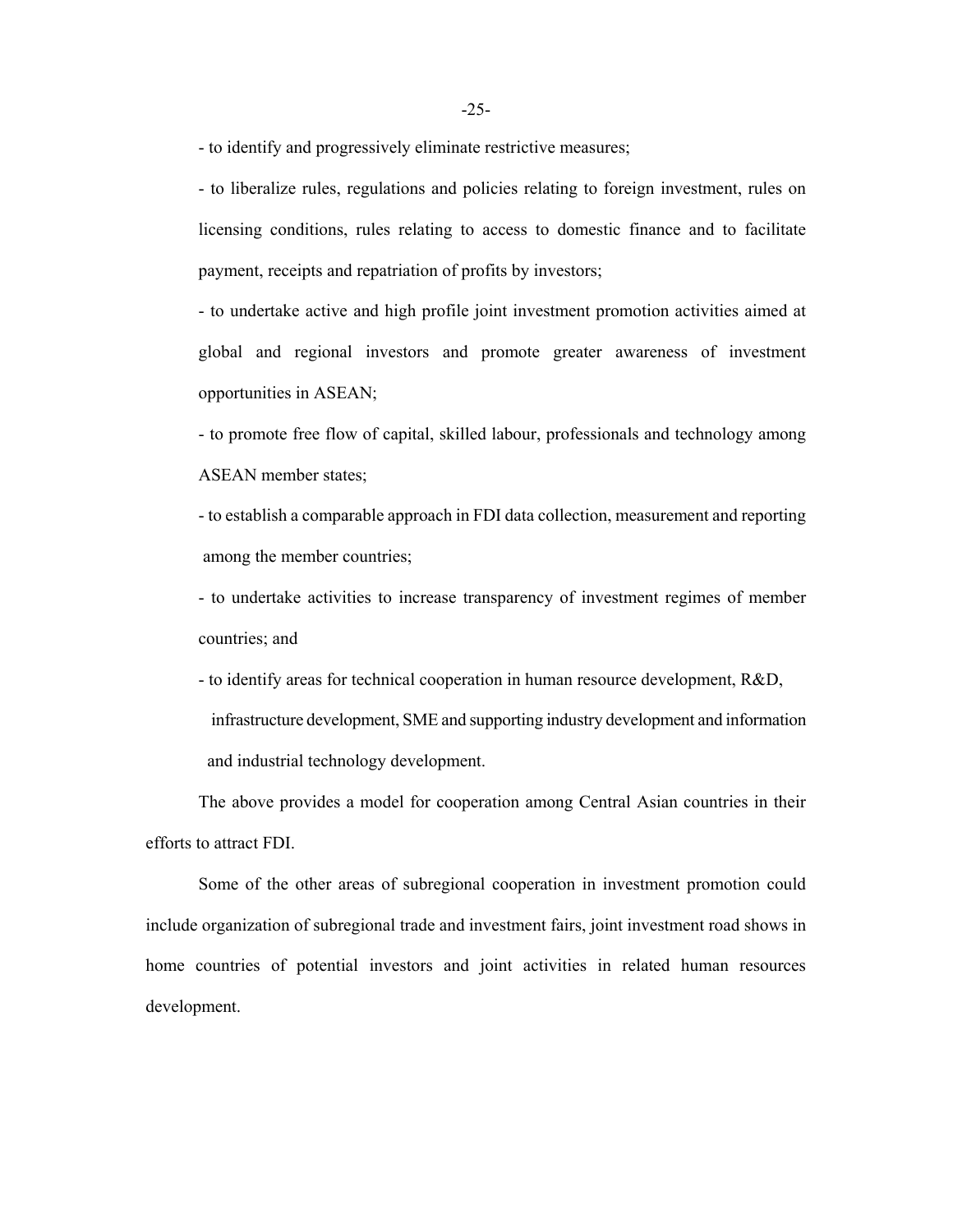- to identify and progressively eliminate restrictive measures;

- to liberalize rules, regulations and policies relating to foreign investment, rules on licensing conditions, rules relating to access to domestic finance and to facilitate payment, receipts and repatriation of profits by investors;

- to undertake active and high profile joint investment promotion activities aimed at global and regional investors and promote greater awareness of investment opportunities in ASEAN;

- to promote free flow of capital, skilled labour, professionals and technology among ASEAN member states;

- to establish a comparable approach in FDI data collection, measurement and reporting among the member countries;

- to undertake activities to increase transparency of investment regimes of member countries; and

- to identify areas for technical cooperation in human resource development, R&D, infrastructure development, SME and supporting industry development and information and industrial technology development.

The above provides a model for cooperation among Central Asian countries in their efforts to attract FDI.

Some of the other areas of subregional cooperation in investment promotion could include organization of subregional trade and investment fairs, joint investment road shows in home countries of potential investors and joint activities in related human resources development.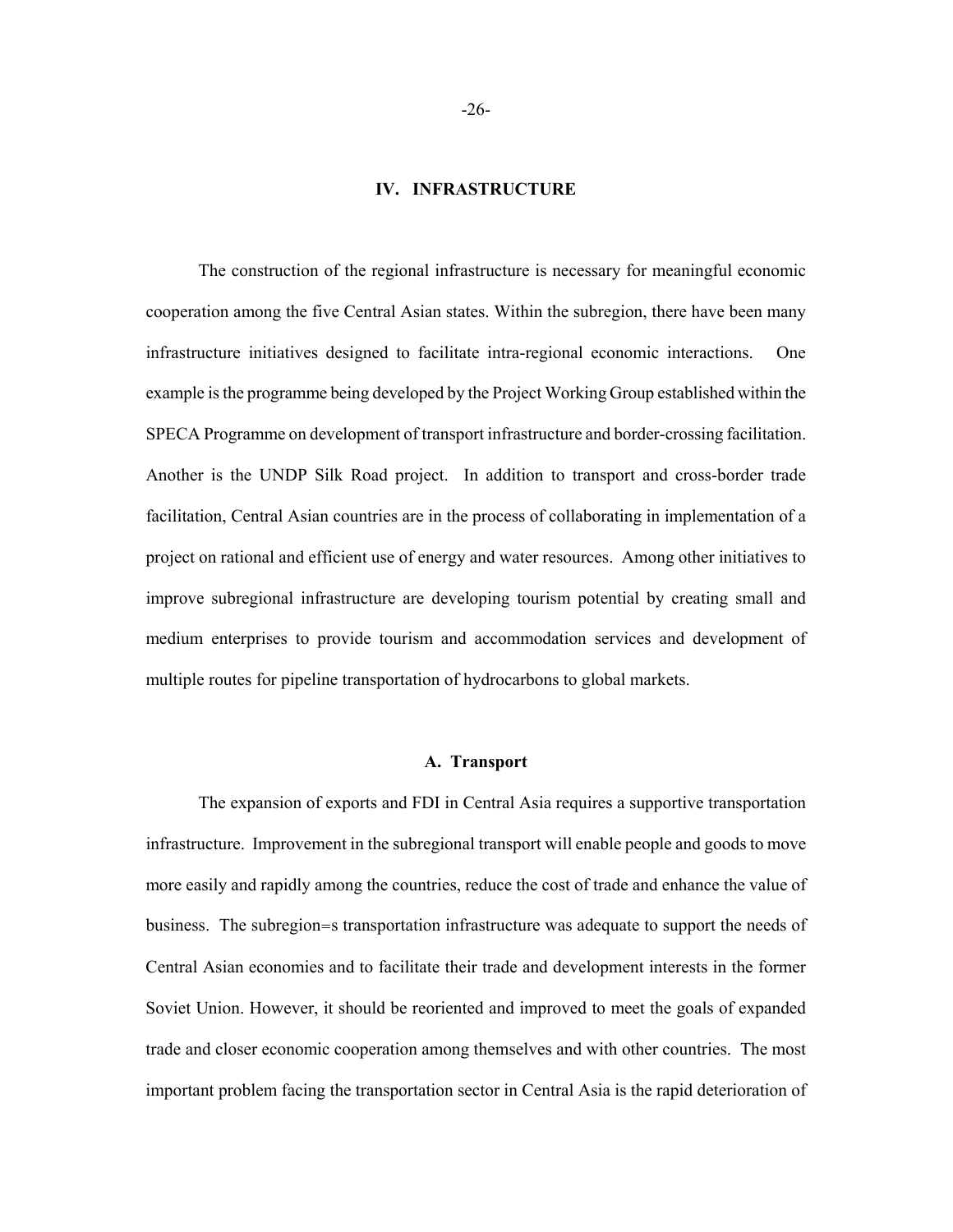### **IV. INFRASTRUCTURE**

The construction of the regional infrastructure is necessary for meaningful economic cooperation among the five Central Asian states. Within the subregion, there have been many infrastructure initiatives designed to facilitate intra-regional economic interactions. One example is the programme being developed by the Project Working Group established within the SPECA Programme on development of transport infrastructure and border-crossing facilitation. Another is the UNDP Silk Road project. In addition to transport and cross-border trade facilitation, Central Asian countries are in the process of collaborating in implementation of a project on rational and efficient use of energy and water resources. Among other initiatives to improve subregional infrastructure are developing tourism potential by creating small and medium enterprises to provide tourism and accommodation services and development of multiple routes for pipeline transportation of hydrocarbons to global markets.

## **A. Transport**

The expansion of exports and FDI in Central Asia requires a supportive transportation infrastructure. Improvement in the subregional transport will enable people and goods to move more easily and rapidly among the countries, reduce the cost of trade and enhance the value of business. The subregion=s transportation infrastructure was adequate to support the needs of Central Asian economies and to facilitate their trade and development interests in the former Soviet Union. However, it should be reoriented and improved to meet the goals of expanded trade and closer economic cooperation among themselves and with other countries. The most important problem facing the transportation sector in Central Asia is the rapid deterioration of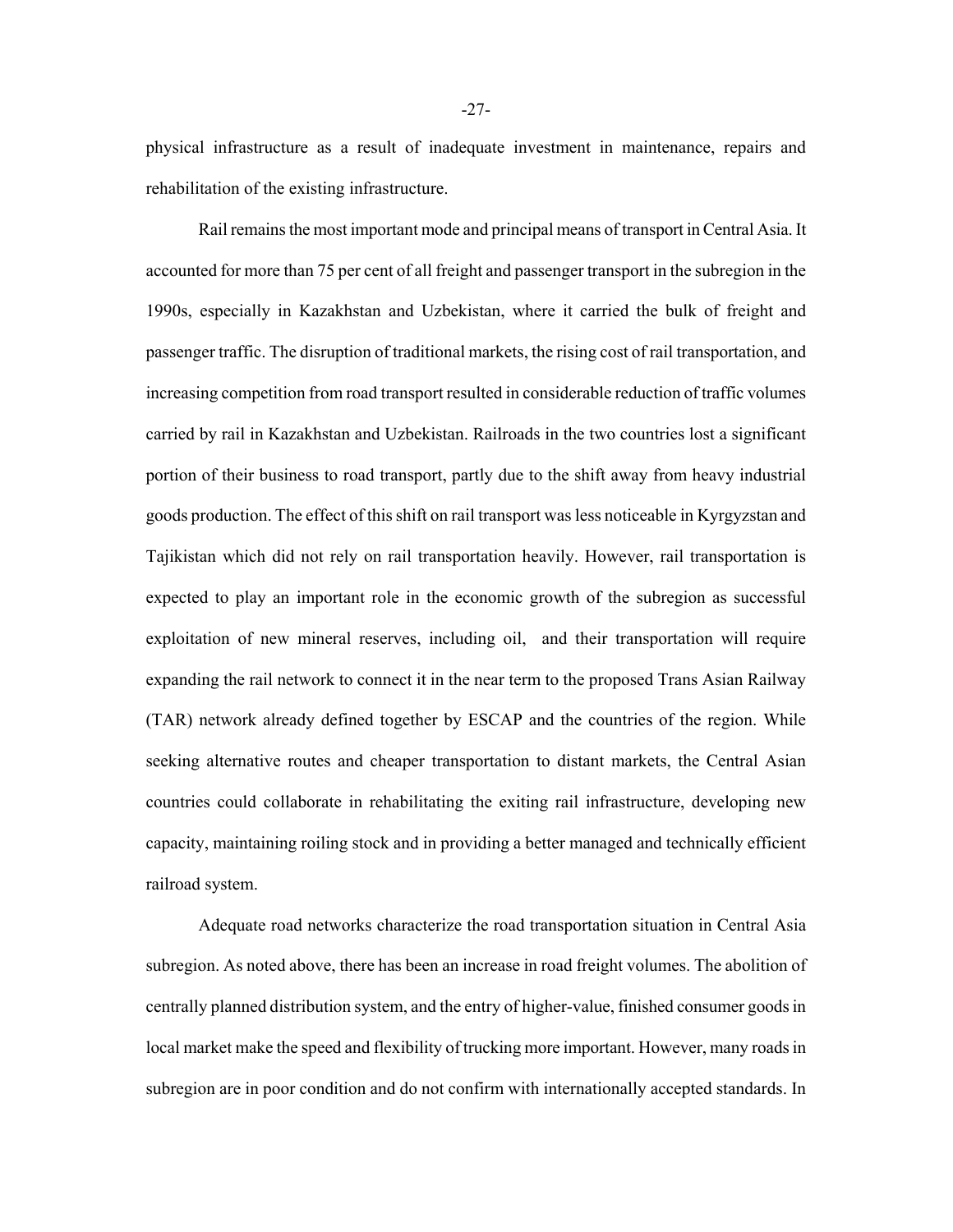physical infrastructure as a result of inadequate investment in maintenance, repairs and rehabilitation of the existing infrastructure.

Rail remains the most important mode and principal means of transport in Central Asia. It accounted for more than 75 per cent of all freight and passenger transport in the subregion in the 1990s, especially in Kazakhstan and Uzbekistan, where it carried the bulk of freight and passenger traffic. The disruption of traditional markets, the rising cost of rail transportation, and increasing competition from road transport resulted in considerable reduction of traffic volumes carried by rail in Kazakhstan and Uzbekistan. Railroads in the two countries lost a significant portion of their business to road transport, partly due to the shift away from heavy industrial goods production. The effect of this shift on rail transport was less noticeable in Kyrgyzstan and Tajikistan which did not rely on rail transportation heavily. However, rail transportation is expected to play an important role in the economic growth of the subregion as successful exploitation of new mineral reserves, including oil, and their transportation will require expanding the rail network to connect it in the near term to the proposed Trans Asian Railway (TAR) network already defined together by ESCAP and the countries of the region. While seeking alternative routes and cheaper transportation to distant markets, the Central Asian countries could collaborate in rehabilitating the exiting rail infrastructure, developing new capacity, maintaining roiling stock and in providing a better managed and technically efficient railroad system.

Adequate road networks characterize the road transportation situation in Central Asia subregion. As noted above, there has been an increase in road freight volumes. The abolition of centrally planned distribution system, and the entry of higher-value, finished consumer goods in local market make the speed and flexibility of trucking more important. However, many roads in subregion are in poor condition and do not confirm with internationally accepted standards. In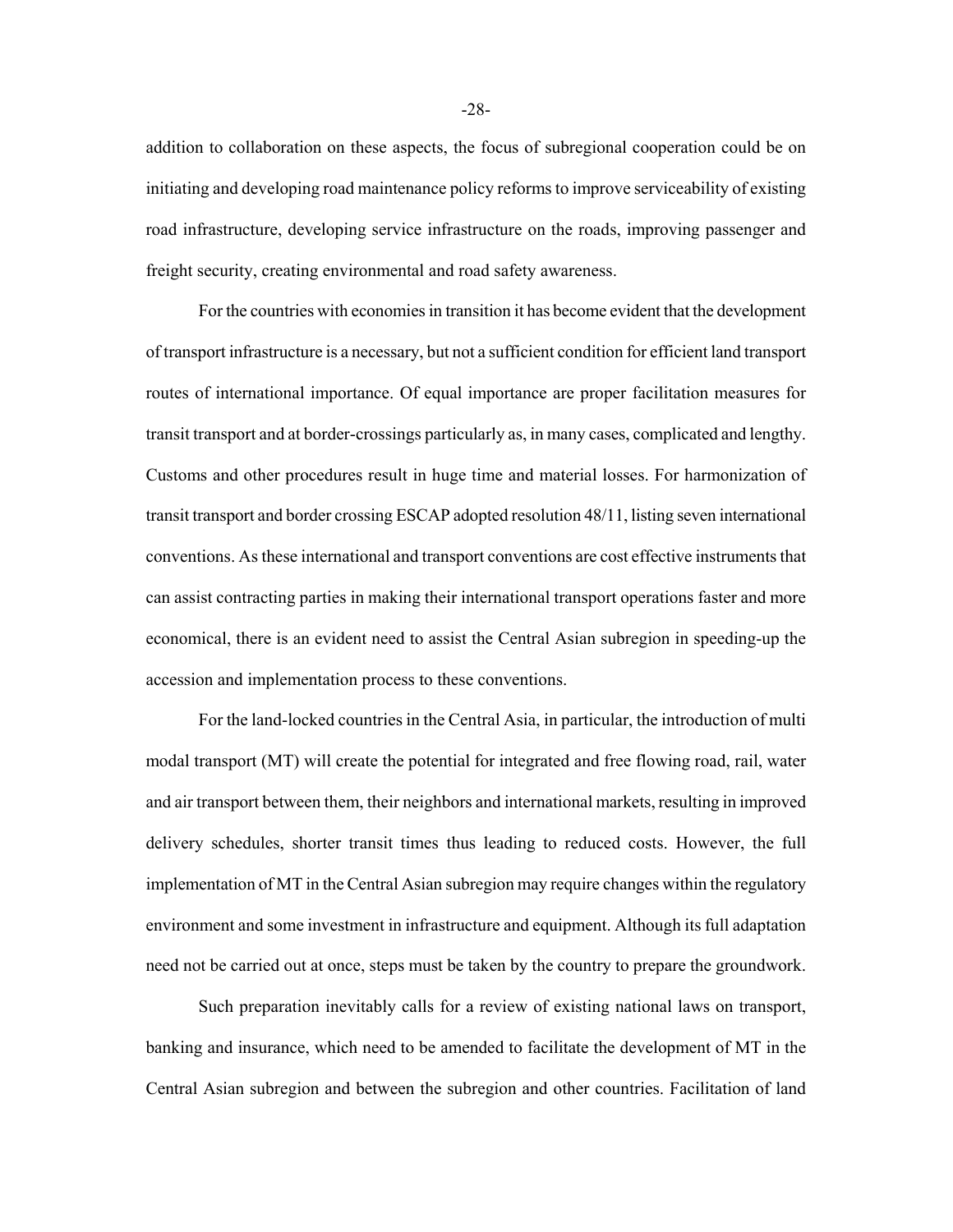addition to collaboration on these aspects, the focus of subregional cooperation could be on initiating and developing road maintenance policy reforms to improve serviceability of existing road infrastructure, developing service infrastructure on the roads, improving passenger and freight security, creating environmental and road safety awareness.

For the countries with economies in transition it has become evident that the development of transport infrastructure is a necessary, but not a sufficient condition for efficient land transport routes of international importance. Of equal importance are proper facilitation measures for transit transport and at border-crossings particularly as, in many cases, complicated and lengthy. Customs and other procedures result in huge time and material losses. For harmonization of transit transport and border crossing ESCAP adopted resolution 48/11, listing seven international conventions. As these international and transport conventions are cost effective instruments that can assist contracting parties in making their international transport operations faster and more economical, there is an evident need to assist the Central Asian subregion in speeding-up the accession and implementation process to these conventions.

For the land-locked countries in the Central Asia, in particular, the introduction of multi modal transport (MT) will create the potential for integrated and free flowing road, rail, water and air transport between them, their neighbors and international markets, resulting in improved delivery schedules, shorter transit times thus leading to reduced costs. However, the full implementation of MT in the Central Asian subregion may require changes within the regulatory environment and some investment in infrastructure and equipment. Although its full adaptation need not be carried out at once, steps must be taken by the country to prepare the groundwork.

Such preparation inevitably calls for a review of existing national laws on transport, banking and insurance, which need to be amended to facilitate the development of MT in the Central Asian subregion and between the subregion and other countries. Facilitation of land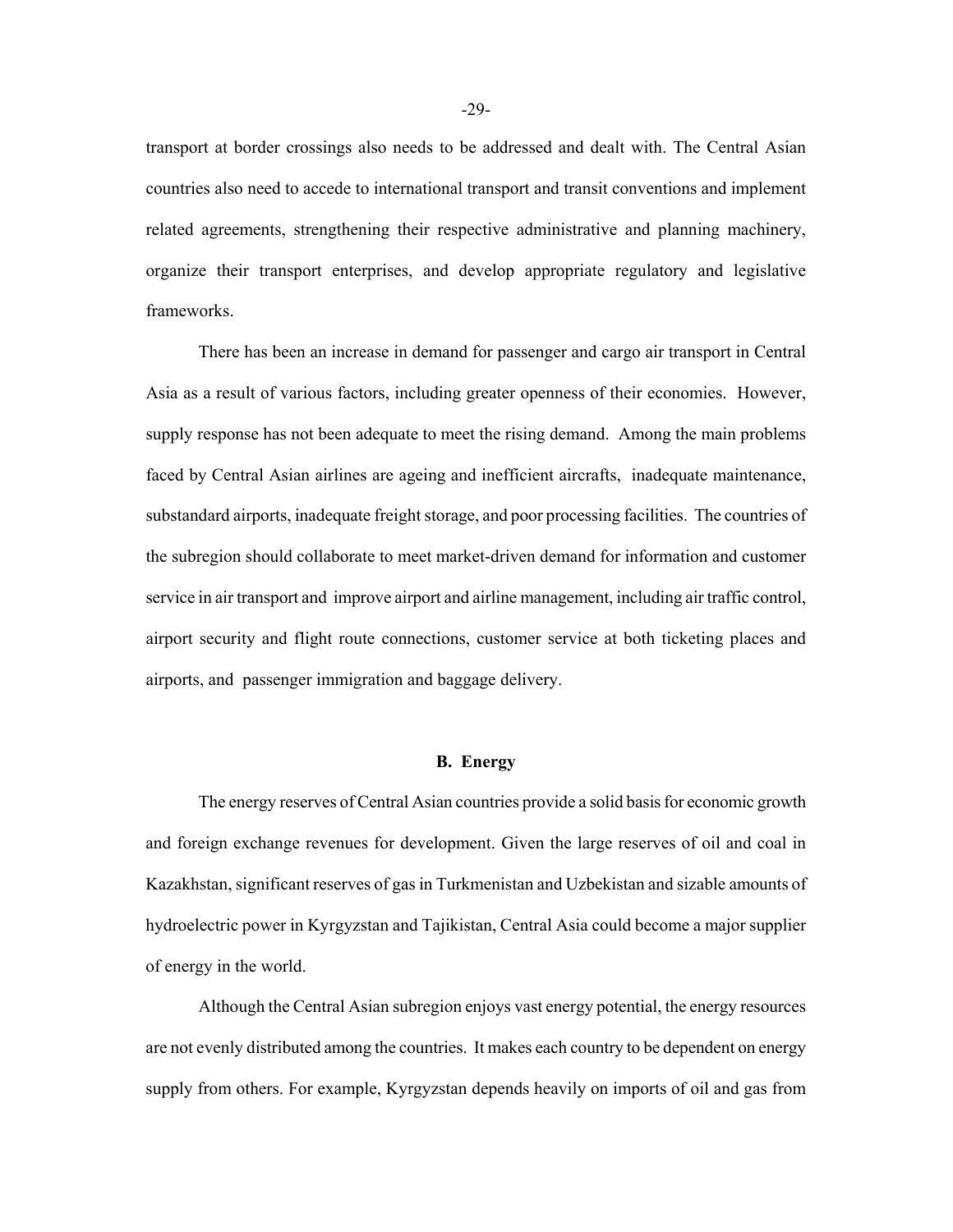transport at border crossings also needs to be addressed and dealt with. The Central Asian countries also need to accede to international transport and transit conventions and implement related agreements, strengthening their respective administrative and planning machinery, organize their transport enterprises, and develop appropriate regulatory and legislative frameworks.

There has been an increase in demand for passenger and cargo air transport in Central Asia as a result of various factors, including greater openness of their economies. However, supply response has not been adequate to meet the rising demand. Among the main problems faced by Central Asian airlines are ageing and inefficient aircrafts, inadequate maintenance, substandard airports, inadequate freight storage, and poor processing facilities. The countries of the subregion should collaborate to meet market-driven demand for information and customer service in air transport and improve airport and airline management, including air traffic control, airport security and flight route connections, customer service at both ticketing places and airports, and passenger immigration and baggage delivery.

### **B. Energy**

The energy reserves of Central Asian countries provide a solid basis for economic growth and foreign exchange revenues for development. Given the large reserves of oil and coal in Kazakhstan, significant reserves of gas in Turkmenistan and Uzbekistan and sizable amounts of hydroelectric power in Kyrgyzstan and Tajikistan, Central Asia could become a major supplier of energy in the world.

Although the Central Asian subregion enjoys vast energy potential, the energy resources are not evenly distributed among the countries. It makes each country to be dependent on energy supply from others. For example, Kyrgyzstan depends heavily on imports of oil and gas from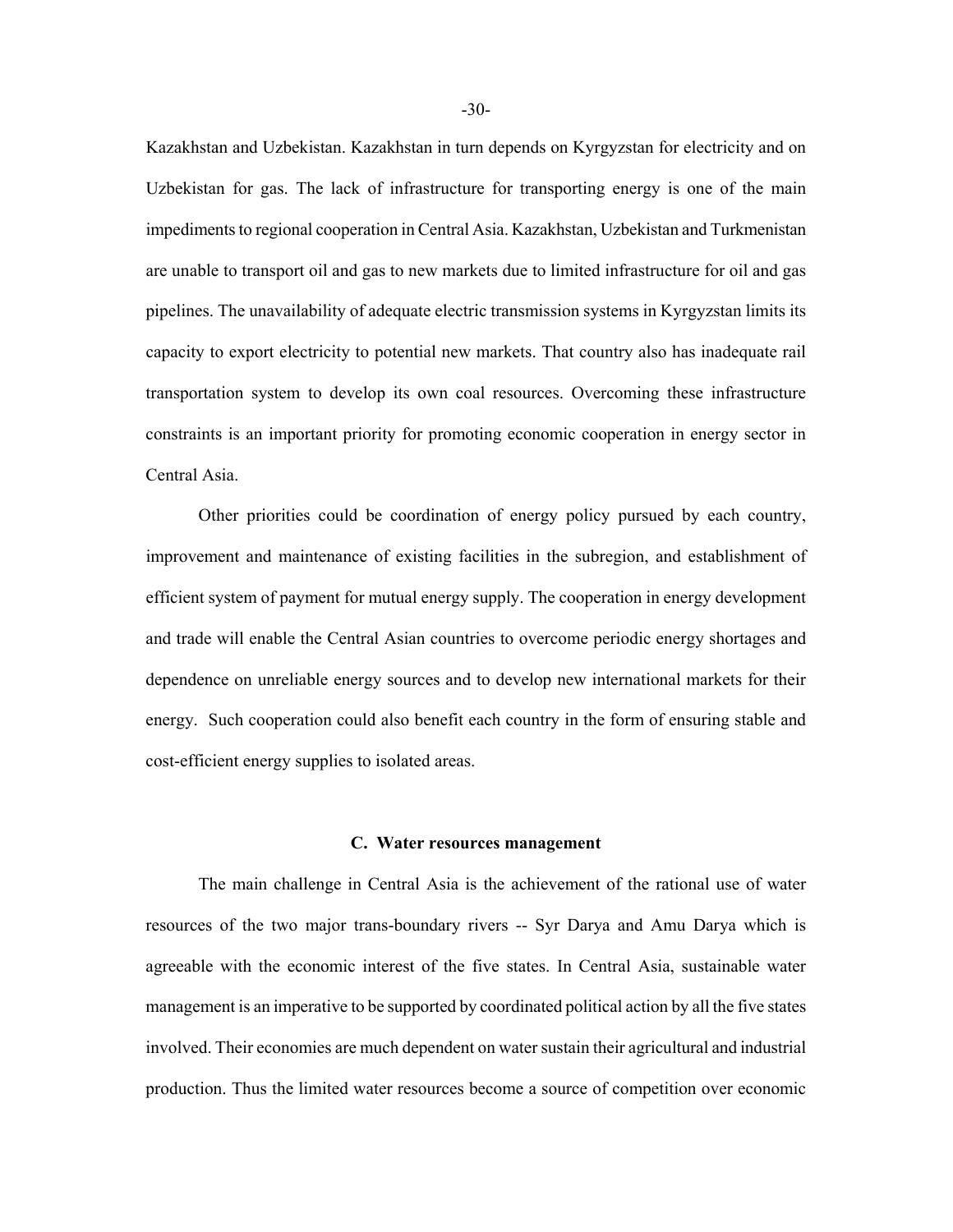Kazakhstan and Uzbekistan. Kazakhstan in turn depends on Kyrgyzstan for electricity and on Uzbekistan for gas. The lack of infrastructure for transporting energy is one of the main impediments to regional cooperation in Central Asia. Kazakhstan, Uzbekistan and Turkmenistan are unable to transport oil and gas to new markets due to limited infrastructure for oil and gas pipelines. The unavailability of adequate electric transmission systems in Kyrgyzstan limits its capacity to export electricity to potential new markets. That country also has inadequate rail transportation system to develop its own coal resources. Overcoming these infrastructure constraints is an important priority for promoting economic cooperation in energy sector in Central Asia.

Other priorities could be coordination of energy policy pursued by each country, improvement and maintenance of existing facilities in the subregion, and establishment of efficient system of payment for mutual energy supply. The cooperation in energy development and trade will enable the Central Asian countries to overcome periodic energy shortages and dependence on unreliable energy sources and to develop new international markets for their energy. Such cooperation could also benefit each country in the form of ensuring stable and cost-efficient energy supplies to isolated areas.

### **C. Water resources management**

The main challenge in Central Asia is the achievement of the rational use of water resources of the two major trans-boundary rivers -- Syr Darya and Amu Darya which is agreeable with the economic interest of the five states. In Central Asia, sustainable water management is an imperative to be supported by coordinated political action by all the five states involved. Their economies are much dependent on water sustain their agricultural and industrial production. Thus the limited water resources become a source of competition over economic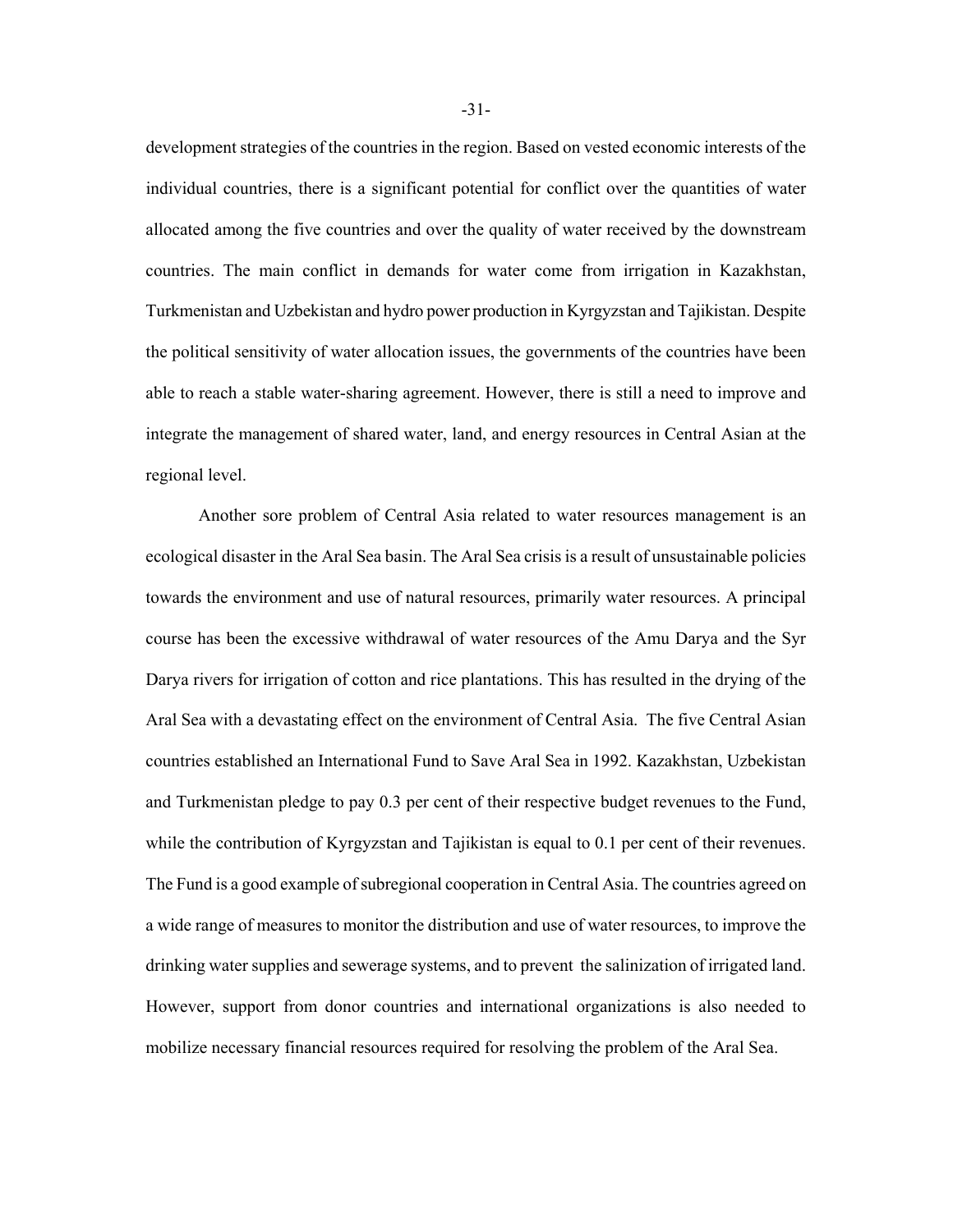development strategies of the countries in the region. Based on vested economic interests of the individual countries, there is a significant potential for conflict over the quantities of water allocated among the five countries and over the quality of water received by the downstream countries. The main conflict in demands for water come from irrigation in Kazakhstan, Turkmenistan and Uzbekistan and hydro power production in Kyrgyzstan and Tajikistan. Despite the political sensitivity of water allocation issues, the governments of the countries have been able to reach a stable water-sharing agreement. However, there is still a need to improve and integrate the management of shared water, land, and energy resources in Central Asian at the regional level.

Another sore problem of Central Asia related to water resources management is an ecological disaster in the Aral Sea basin. The Aral Sea crisis is a result of unsustainable policies towards the environment and use of natural resources, primarily water resources. A principal course has been the excessive withdrawal of water resources of the Amu Darya and the Syr Darya rivers for irrigation of cotton and rice plantations. This has resulted in the drying of the Aral Sea with a devastating effect on the environment of Central Asia. The five Central Asian countries established an International Fund to Save Aral Sea in 1992. Kazakhstan, Uzbekistan and Turkmenistan pledge to pay 0.3 per cent of their respective budget revenues to the Fund, while the contribution of Kyrgyzstan and Tajikistan is equal to 0.1 per cent of their revenues. The Fund is a good example of subregional cooperation in Central Asia. The countries agreed on a wide range of measures to monitor the distribution and use of water resources, to improve the drinking water supplies and sewerage systems, and to prevent the salinization of irrigated land. However, support from donor countries and international organizations is also needed to mobilize necessary financial resources required for resolving the problem of the Aral Sea.

-31-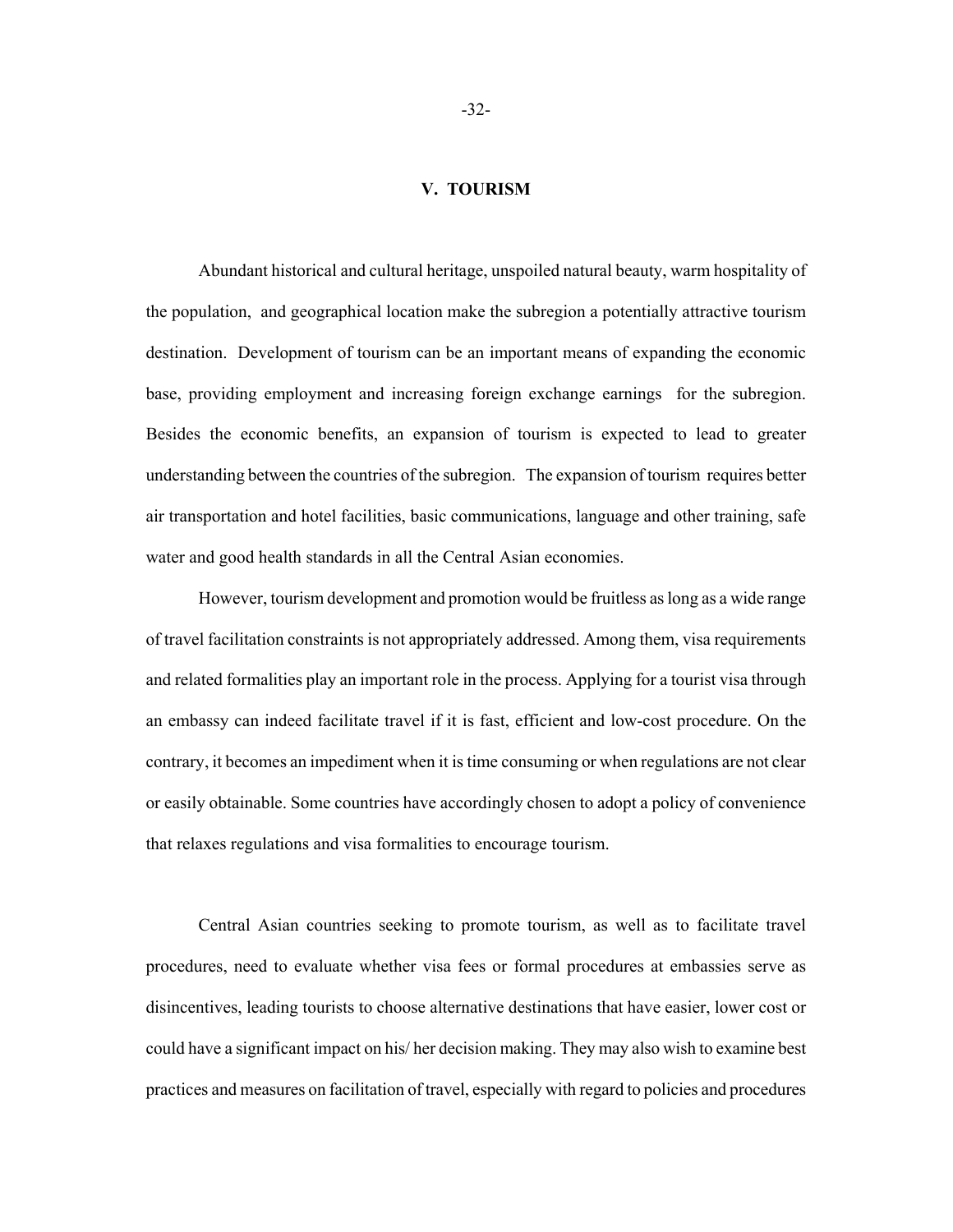### **V. TOURISM**

Abundant historical and cultural heritage, unspoiled natural beauty, warm hospitality of the population, and geographical location make the subregion a potentially attractive tourism destination. Development of tourism can be an important means of expanding the economic base, providing employment and increasing foreign exchange earnings for the subregion. Besides the economic benefits, an expansion of tourism is expected to lead to greater understanding between the countries of the subregion. The expansion of tourism requires better air transportation and hotel facilities, basic communications, language and other training, safe water and good health standards in all the Central Asian economies.

However, tourism development and promotion would be fruitless as long as a wide range of travel facilitation constraints is not appropriately addressed. Among them, visa requirements and related formalities play an important role in the process. Applying for a tourist visa through an embassy can indeed facilitate travel if it is fast, efficient and low-cost procedure. On the contrary, it becomes an impediment when it is time consuming or when regulations are not clear or easily obtainable. Some countries have accordingly chosen to adopt a policy of convenience that relaxes regulations and visa formalities to encourage tourism.

Central Asian countries seeking to promote tourism, as well as to facilitate travel procedures, need to evaluate whether visa fees or formal procedures at embassies serve as disincentives, leading tourists to choose alternative destinations that have easier, lower cost or could have a significant impact on his/ her decision making. They may also wish to examine best practices and measures on facilitation of travel, especially with regard to policies and procedures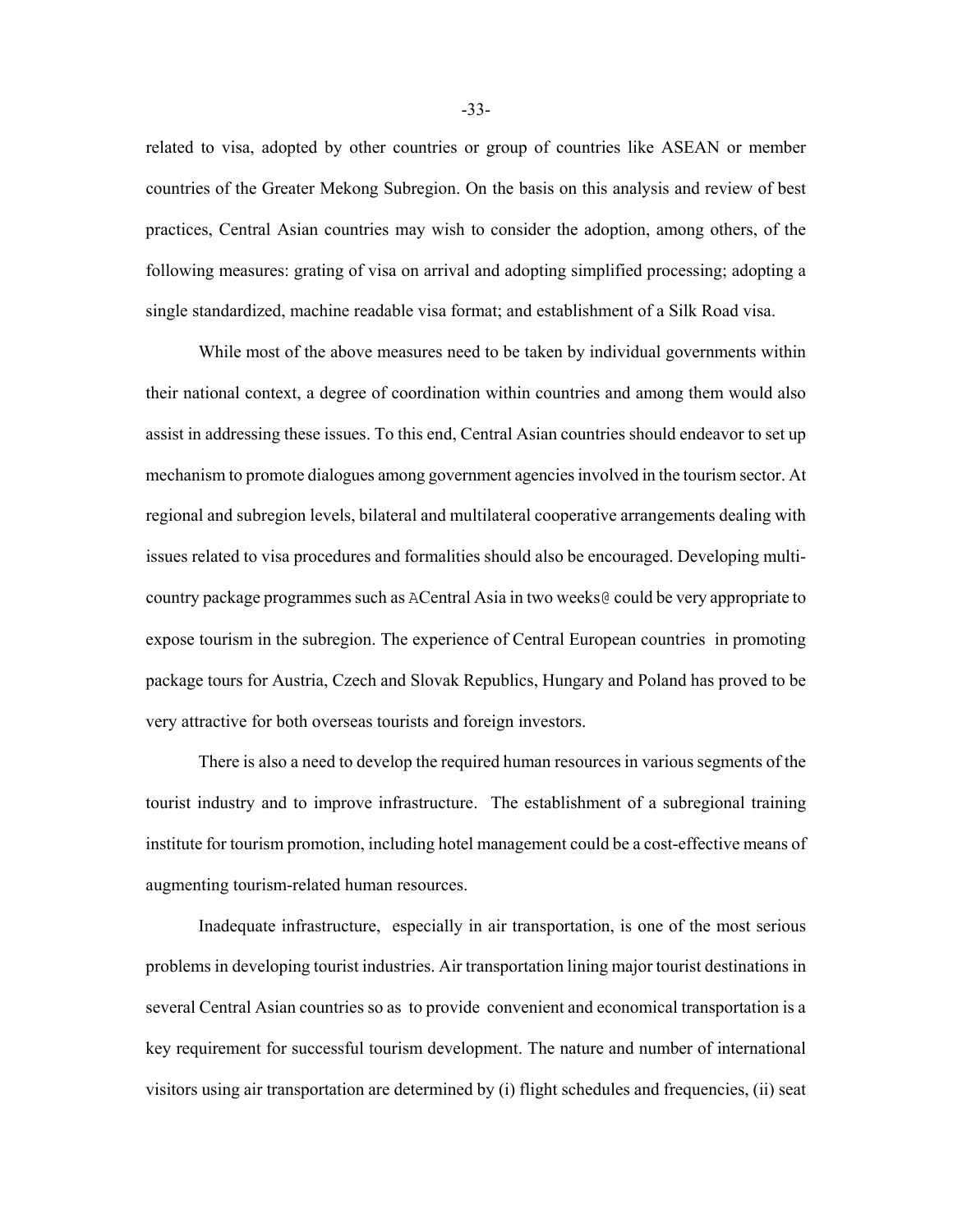related to visa, adopted by other countries or group of countries like ASEAN or member countries of the Greater Mekong Subregion. On the basis on this analysis and review of best practices, Central Asian countries may wish to consider the adoption, among others, of the following measures: grating of visa on arrival and adopting simplified processing; adopting a single standardized, machine readable visa format; and establishment of a Silk Road visa.

While most of the above measures need to be taken by individual governments within their national context, a degree of coordination within countries and among them would also assist in addressing these issues. To this end, Central Asian countries should endeavor to set up mechanism to promote dialogues among government agencies involved in the tourism sector. At regional and subregion levels, bilateral and multilateral cooperative arrangements dealing with issues related to visa procedures and formalities should also be encouraged. Developing multicountry package programmes such as ACentral Asia in two weeks@ could be very appropriate to expose tourism in the subregion. The experience of Central European countries in promoting package tours for Austria, Czech and Slovak Republics, Hungary and Poland has proved to be very attractive for both overseas tourists and foreign investors.

There is also a need to develop the required human resources in various segments of the tourist industry and to improve infrastructure. The establishment of a subregional training institute for tourism promotion, including hotel management could be a cost-effective means of augmenting tourism-related human resources.

Inadequate infrastructure, especially in air transportation, is one of the most serious problems in developing tourist industries. Air transportation lining major tourist destinations in several Central Asian countries so as to provide convenient and economical transportation is a key requirement for successful tourism development. The nature and number of international visitors using air transportation are determined by (i) flight schedules and frequencies, (ii) seat

-33-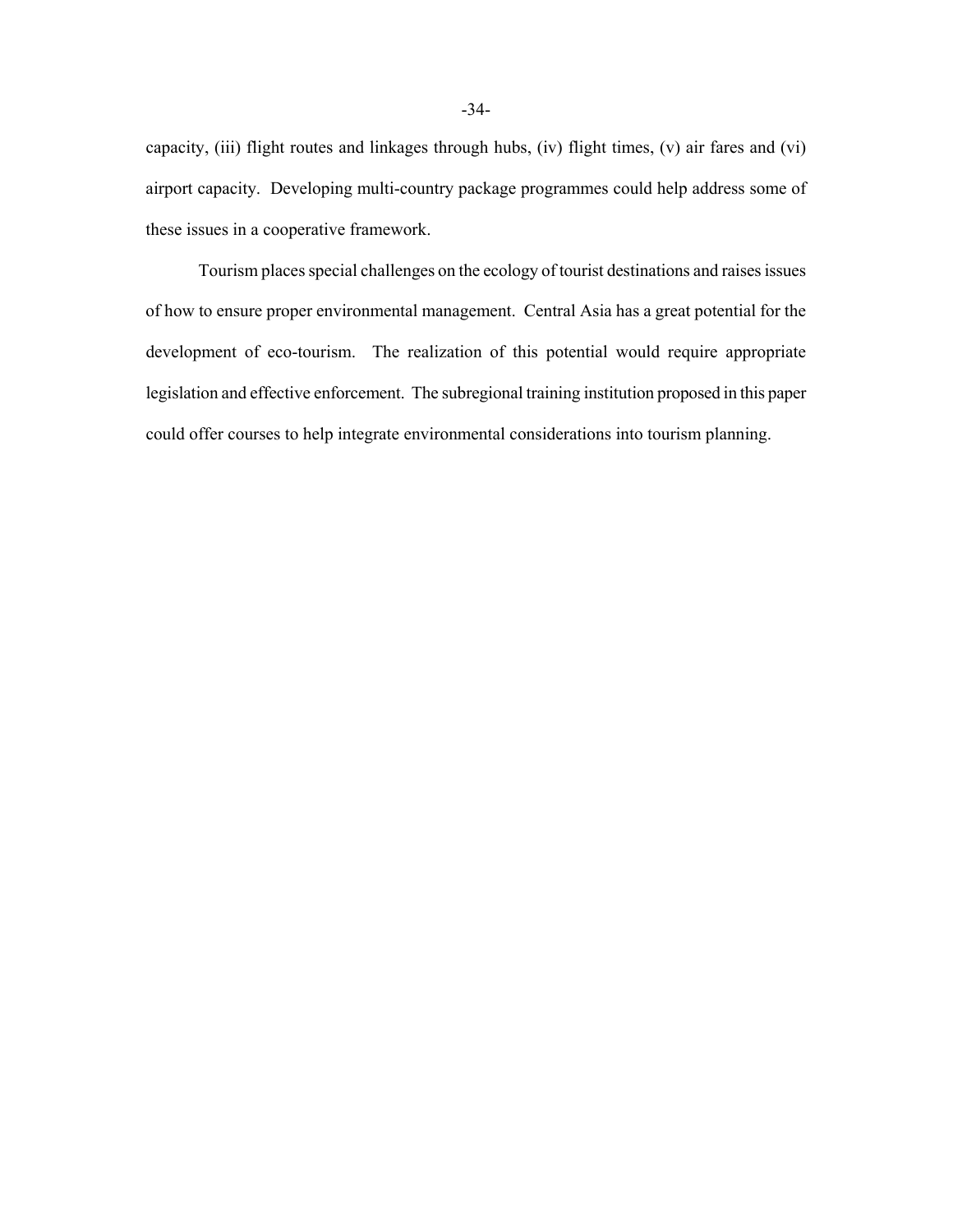capacity, (iii) flight routes and linkages through hubs, (iv) flight times, (v) air fares and (vi) airport capacity. Developing multi-country package programmes could help address some of these issues in a cooperative framework.

Tourism places special challenges on the ecology of tourist destinations and raises issues of how to ensure proper environmental management. Central Asia has a great potential for the development of eco-tourism. The realization of this potential would require appropriate legislation and effective enforcement. The subregional training institution proposed in this paper could offer courses to help integrate environmental considerations into tourism planning.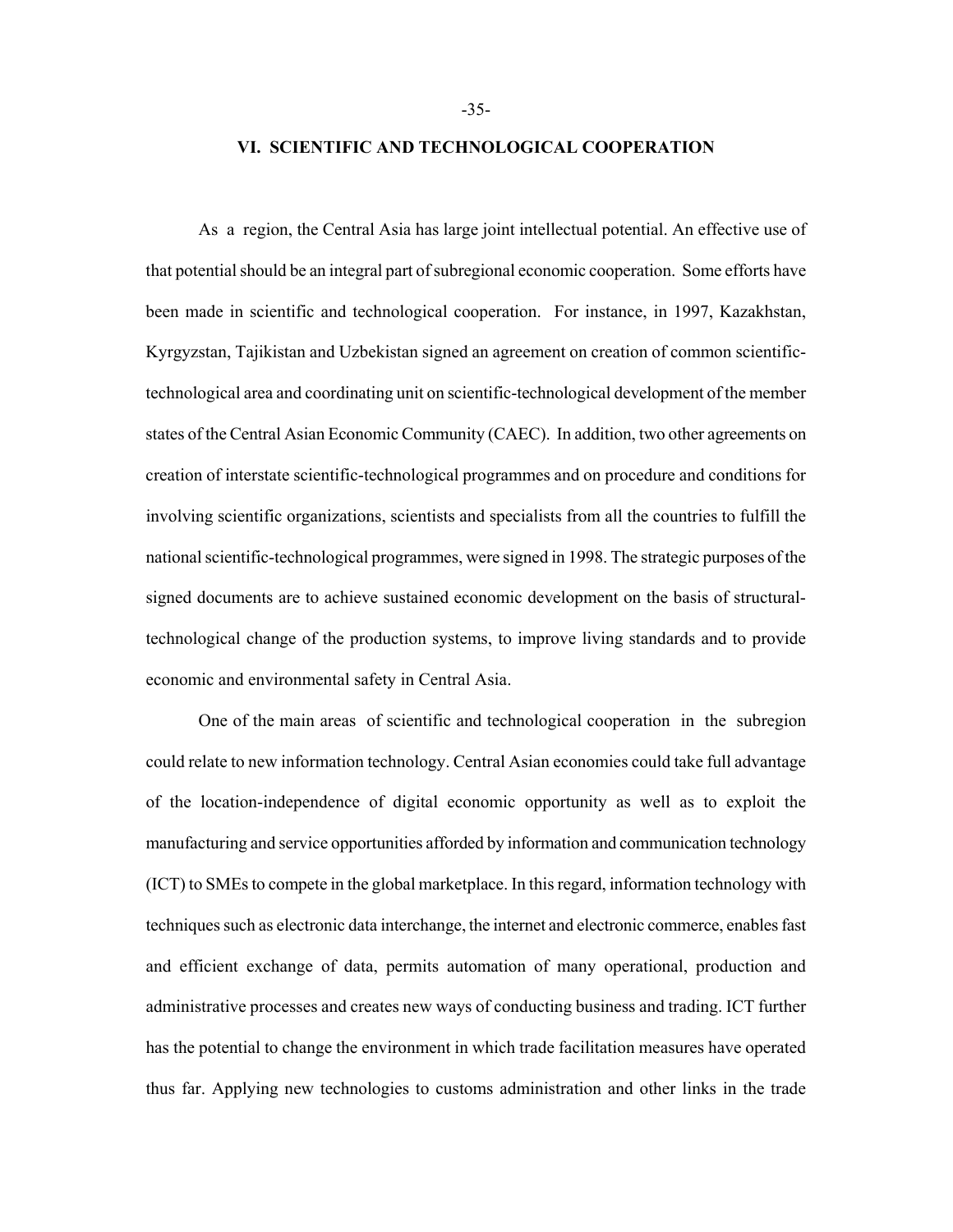### **VI. SCIENTIFIC AND TECHNOLOGICAL COOPERATION**

As a region, the Central Asia has large joint intellectual potential. An effective use of that potential should be an integral part of subregional economic cooperation. Some efforts have been made in scientific and technological cooperation. For instance, in 1997, Kazakhstan, Kyrgyzstan, Tajikistan and Uzbekistan signed an agreement on creation of common scientifictechnological area and coordinating unit on scientific-technological development of the member states of the Central Asian Economic Community (CAEC). In addition, two other agreements on creation of interstate scientific-technological programmes and on procedure and conditions for involving scientific organizations, scientists and specialists from all the countries to fulfill the national scientific-technological programmes, were signed in 1998. The strategic purposes of the signed documents are to achieve sustained economic development on the basis of structuraltechnological change of the production systems, to improve living standards and to provide economic and environmental safety in Central Asia.

One of the main areas of scientific and technological cooperationin the subregion could relate to new information technology. Central Asian economies could take full advantage of the location-independence of digital economic opportunity as well as to exploit the manufacturing and service opportunities afforded by information and communication technology (ICT) to SMEs to compete in the global marketplace. In this regard, information technology with techniques such as electronic data interchange, the internet and electronic commerce, enables fast and efficient exchange of data, permits automation of many operational, production and administrative processes and creates new ways of conducting business and trading. ICT further has the potential to change the environment in which trade facilitation measures have operated thus far. Applying new technologies to customs administration and other links in the trade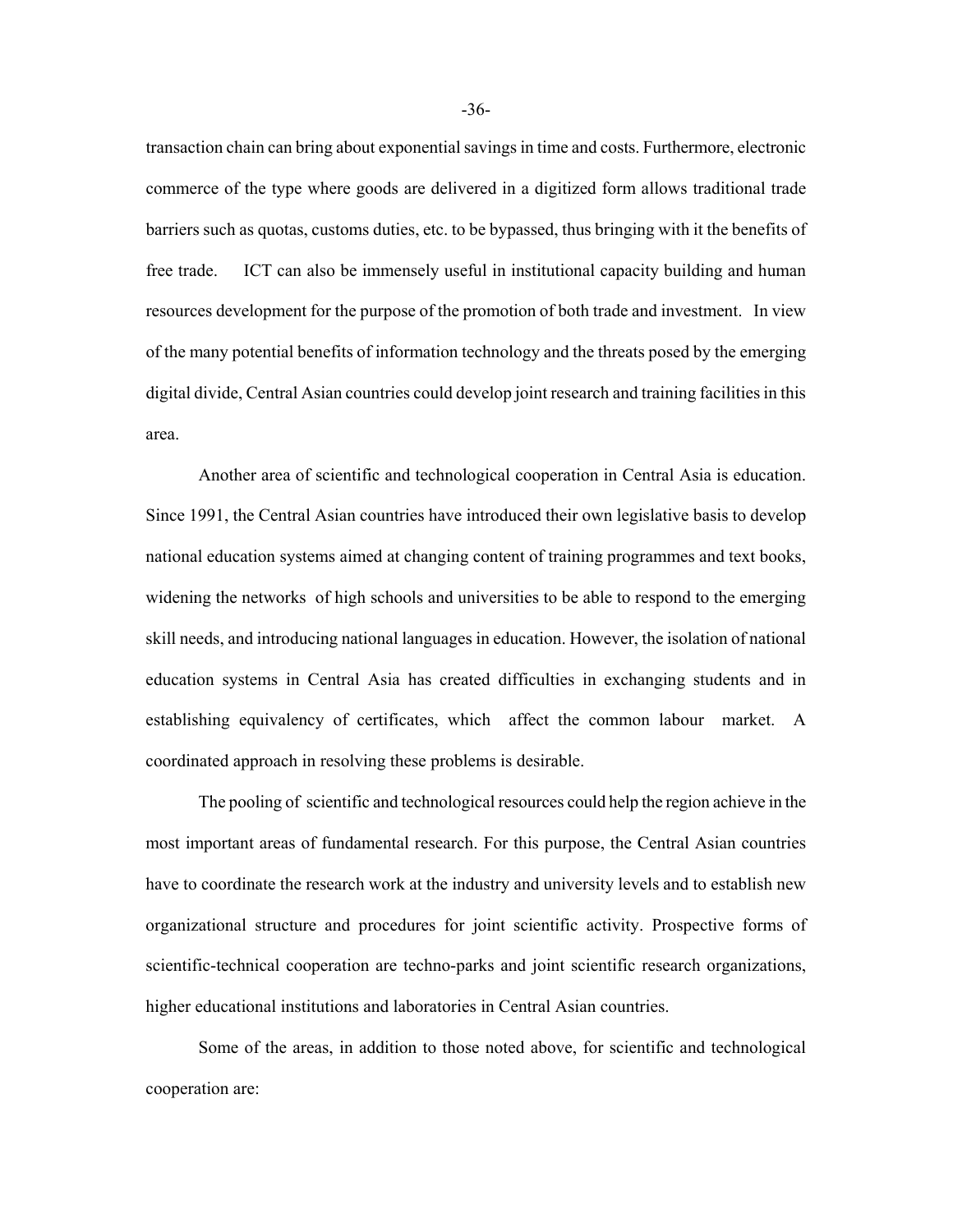transaction chain can bring about exponential savings in time and costs. Furthermore, electronic commerce of the type where goods are delivered in a digitized form allows traditional trade barriers such as quotas, customs duties, etc. to be bypassed, thus bringing with it the benefits of free trade. ICT can also be immensely useful in institutional capacity building and human resources development for the purpose of the promotion of both trade and investment. In view of the many potential benefits of information technology and the threats posed by the emerging digital divide, Central Asian countries could develop joint research and training facilities in this area.

Another area of scientific and technological cooperation in Central Asia is education. Since 1991, the Central Asian countries have introduced their own legislative basis to develop national education systems aimed at changing content of training programmes and text books, widening the networks of high schools and universities to be able to respond to the emerging skill needs, and introducing national languages in education. However, the isolation of national education systems in Central Asia has created difficulties in exchanging students and in establishing equivalency of certificates, which affect the common labour market. A coordinated approach in resolving these problems is desirable.

The pooling of scientific and technological resources could help the region achieve in the most important areas of fundamental research. For this purpose, the Central Asian countries have to coordinate the research work at the industry and university levels and to establish new organizational structure and procedures for joint scientific activity. Prospective forms of scientific-technical cooperation are techno-parks and joint scientific research organizations, higher educational institutions and laboratories in Central Asian countries.

Some of the areas, in addition to those noted above, for scientific and technological cooperation are: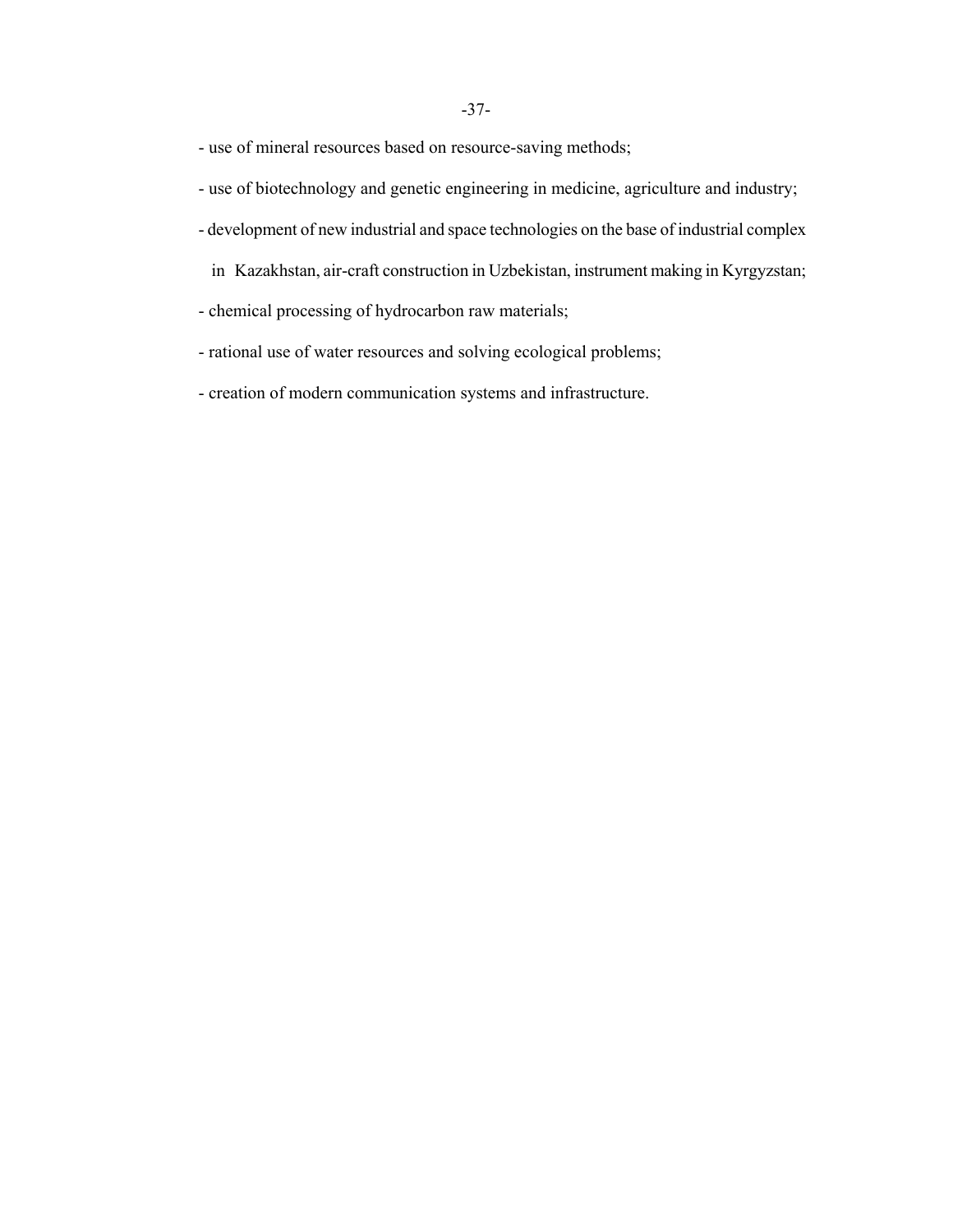- use of mineral resources based on resource-saving methods;

- use of biotechnology and genetic engineering in medicine, agriculture and industry;
- development of new industrial and space technologies on the base of industrial complex
	- in Kazakhstan, air-craft construction in Uzbekistan, instrument making in Kyrgyzstan;
- chemical processing of hydrocarbon raw materials;
- rational use of water resources and solving ecological problems;
- creation of modern communication systems and infrastructure.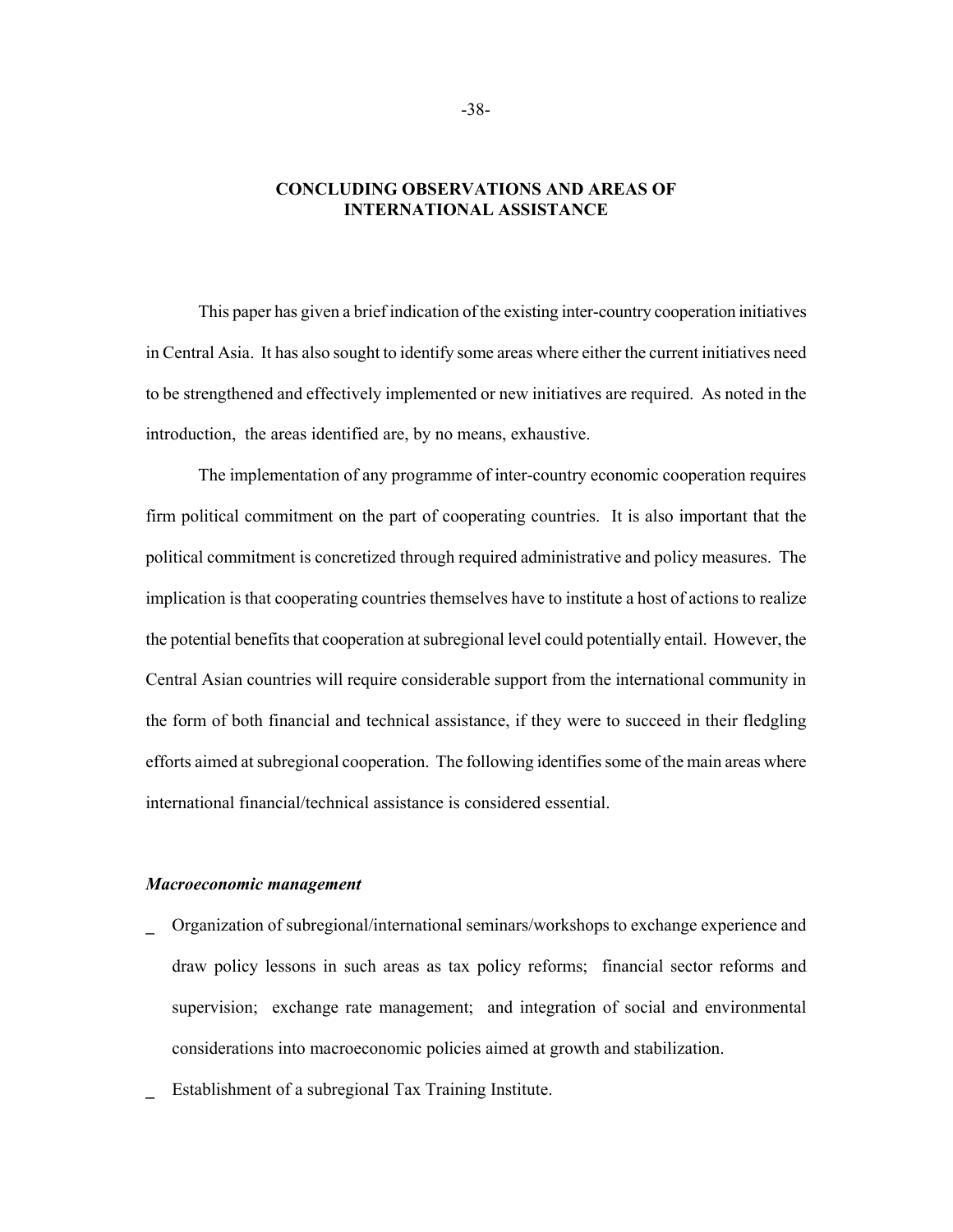# **CONCLUDING OBSERVATIONS AND AREAS OF INTERNATIONAL ASSISTANCE**

This paper has given a brief indication of the existing inter-country cooperation initiatives in Central Asia. It has also sought to identify some areas where either the current initiatives need to be strengthened and effectively implemented or new initiatives are required. As noted in the introduction, the areas identified are, by no means, exhaustive.

The implementation of any programme of inter-country economic cooperation requires firm political commitment on the part of cooperating countries. It is also important that the political commitment is concretized through required administrative and policy measures. The implication is that cooperating countries themselves have to institute a host of actions to realize the potential benefits that cooperation at subregional level could potentially entail. However, the Central Asian countries will require considerable support from the international community in the form of both financial and technical assistance, if they were to succeed in their fledgling efforts aimed at subregional cooperation. The following identifies some of the main areas where international financial/technical assistance is considered essential.

### *Macroeconomic management*

- **\_** Organization of subregional/international seminars/workshops to exchange experience and draw policy lessons in such areas as tax policy reforms; financial sector reforms and supervision; exchange rate management; and integration of social and environmental considerations into macroeconomic policies aimed at growth and stabilization.
- **\_** Establishment of a subregional Tax Training Institute.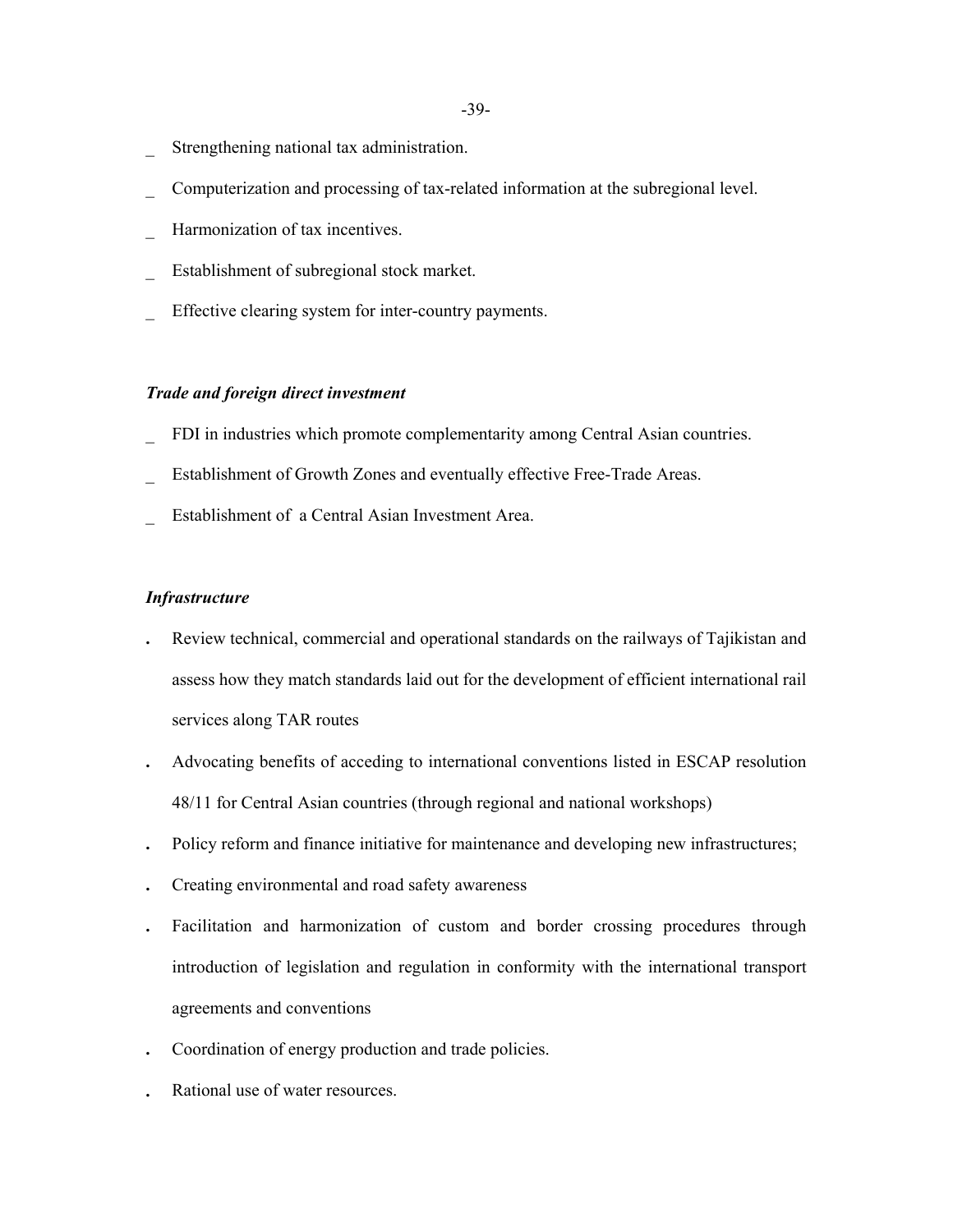- Strengthening national tax administration.
- \_ Computerization and processing of tax-related information at the subregional level.
- Harmonization of tax incentives.
- Establishment of subregional stock market.
- Effective clearing system for inter-country payments.

## *Trade and foreign direct investment*

- FDI in industries which promote complementarity among Central Asian countries.
- Establishment of Growth Zones and eventually effective Free-Trade Areas.
- \_ Establishment of a Central Asian Investment Area.

## *Infrastructure*

- **.** Review technical, commercial and operational standards on the railways of Tajikistan and assess how they match standards laid out for the development of efficient international rail services along TAR routes
- **.** Advocating benefits of acceding to international conventions listed in ESCAP resolution 48/11 for Central Asian countries (through regional and national workshops)
- **.** Policy reform and finance initiative for maintenance and developing new infrastructures;
- **.** Creating environmental and road safety awareness
- **.** Facilitation and harmonization of custom and border crossing procedures through introduction of legislation and regulation in conformity with the international transport agreements and conventions
- **.** Coordination of energy production and trade policies.
- **.** Rational use of water resources.